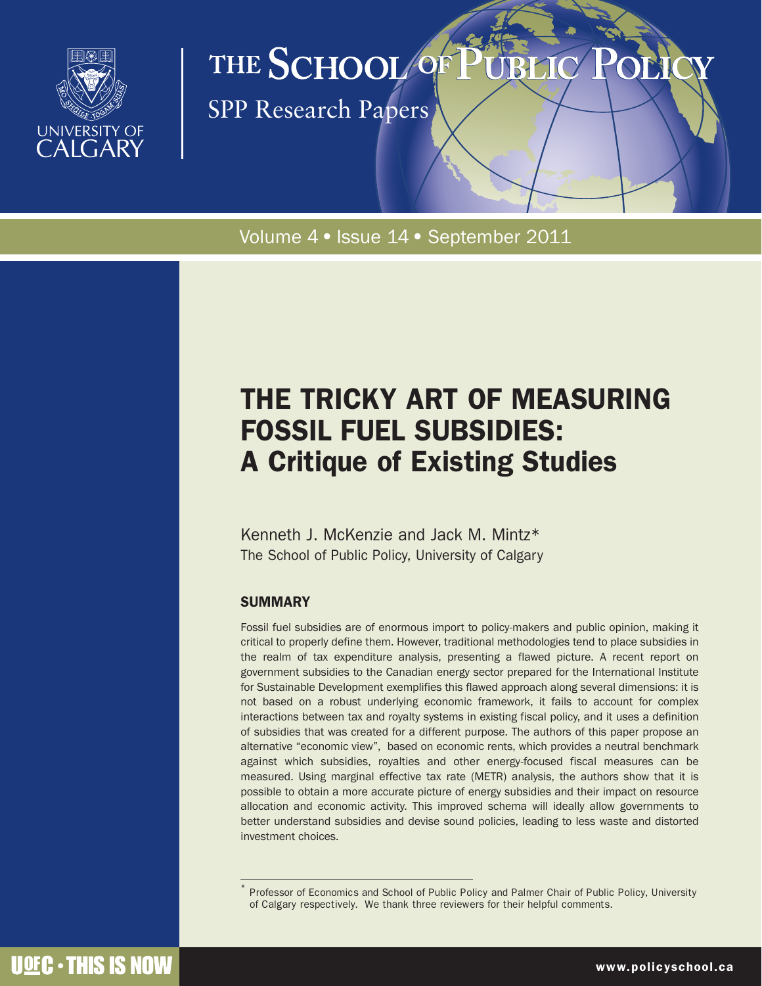

# THE SCHOOL OF

SPP Research Papers

Volume 4 · Issue 14 · September 2011

# THE TRICKY ART OF MEASURING FOSSIL FUEL SUBSIDIES: A Critique of Existing Studies

Kenneth J. McKenzie and Jack M. Mintz\* The School of Public Policy, University of Calgary

# **SUMMARY**

Fossil fuel subsidies are of enormous import to policy-makers and public opinion, making it critical to properly define them. However, traditional methodologies tend to place subsidies in the realm of tax expenditure analysis, presenting a flawed picture. A recent report on government subsidies to the Canadian energy sector prepared for the International Institute for Sustainable Development exemplifies this flawed approach along several dimensions: it is not based on a robust underlying economic framework, it fails to account for complex interactions between tax and royalty systems in existing fiscal policy, and it uses a definition of subsidies that was created for a different purpose. The authors of this paper propose an alternative "economic view", based on economic rents, which provides a neutral benchmark against which subsidies, royalties and other energy-focused fiscal measures can be measured. Using marginal effective tax rate (METR) analysis, the authors show that it is possible to obtain a more accurate picture of energy subsidies and their impact on resource allocation and economic activity. This improved schema will ideally allow governments to better understand subsidies and devise sound policies, leading to less waste and distorted investment choices.

Professor of Economics and School of Public Policy and Palmer Chair of Public Policy, University of Calgary respectively. We thank three reviewers for their helpful comments.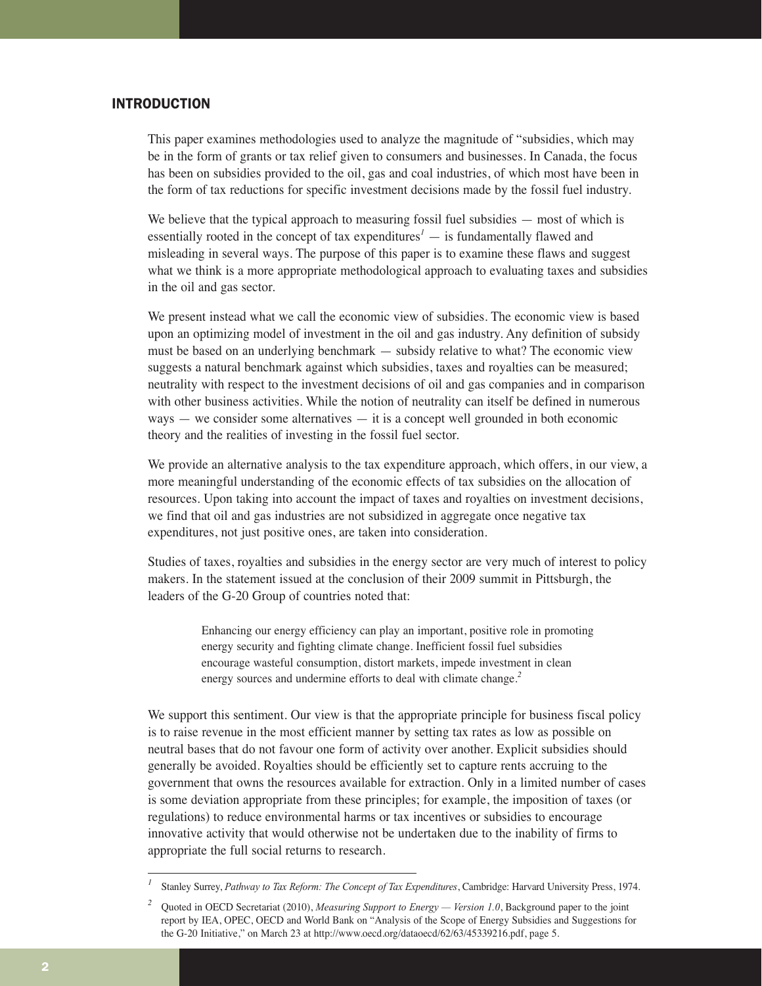# INTRODUCTION

This paper examines methodologies used to analyze the magnitude of "subsidies, which may be in the form of grants or tax relief given to consumers and businesses. In Canada, the focus has been on subsidies provided to the oil, gas and coal industries, of which most have been in the form of tax reductions for specific investment decisions made by the fossil fuel industry.

We believe that the typical approach to measuring fossil fuel subsidies  $-$  most of which is essentially rooted in the concept of tax expenditures<sup> $1$ </sup> — is fundamentally flawed and misleading in several ways. The purpose of this paper is to examine these flaws and suggest what we think is a more appropriate methodological approach to evaluating taxes and subsidies in the oil and gas sector.

We present instead what we call the economic view of subsidies. The economic view is based upon an optimizing model of investment in the oil and gas industry. Any definition of subsidy must be based on an underlying benchmark — subsidy relative to what? The economic view suggests a natural benchmark against which subsidies, taxes and royalties can be measured; neutrality with respect to the investment decisions of oil and gas companies and in comparison with other business activities. While the notion of neutrality can itself be defined in numerous ways  $-$  we consider some alternatives  $-$  it is a concept well grounded in both economic theory and the realities of investing in the fossil fuel sector.

We provide an alternative analysis to the tax expenditure approach, which offers, in our view, a more meaningful understanding of the economic effects of tax subsidies on the allocation of resources. Upon taking into account the impact of taxes and royalties on investment decisions, we find that oil and gas industries are not subsidized in aggregate once negative tax expenditures, not just positive ones, are taken into consideration.

Studies of taxes, royalties and subsidies in the energy sector are very much of interest to policy makers. In the statement issued at the conclusion of their 2009 summit in Pittsburgh, the leaders of the G-20 Group of countries noted that:

> Enhancing our energy efficiency can play an important, positive role in promoting energy security and fighting climate change. Inefficient fossil fuel subsidies encourage wasteful consumption, distort markets, impede investment in clean energy sources and undermine efforts to deal with climate change.*<sup>2</sup>*

We support this sentiment. Our view is that the appropriate principle for business fiscal policy is to raise revenue in the most efficient manner by setting tax rates as low as possible on neutral bases that do not favour one form of activity over another. Explicit subsidies should generally be avoided. Royalties should be efficiently set to capture rents accruing to the government that owns the resources available for extraction. Only in a limited number of cases is some deviation appropriate from these principles; for example, the imposition of taxes (or regulations) to reduce environmental harms or tax incentives or subsidies to encourage innovative activity that would otherwise not be undertaken due to the inability of firms to appropriate the full social returns to research.

*<sup>1</sup>* Stanley Surrey, *Pathway to Tax Reform: The Concept of Tax Expenditures*, Cambridge: Harvard University Press, 1974.

*<sup>2</sup>* Quoted in OECD Secretariat (2010), *Measuring Support to Energy — Version 1.0*, Background paper to the joint report by IEA, OPEC, OECD and World Bank on "Analysis of the Scope of Energy Subsidies and Suggestions for the G-20 Initiative," on March 23 at http://www.oecd.org/dataoecd/62/63/45339216.pdf, page 5.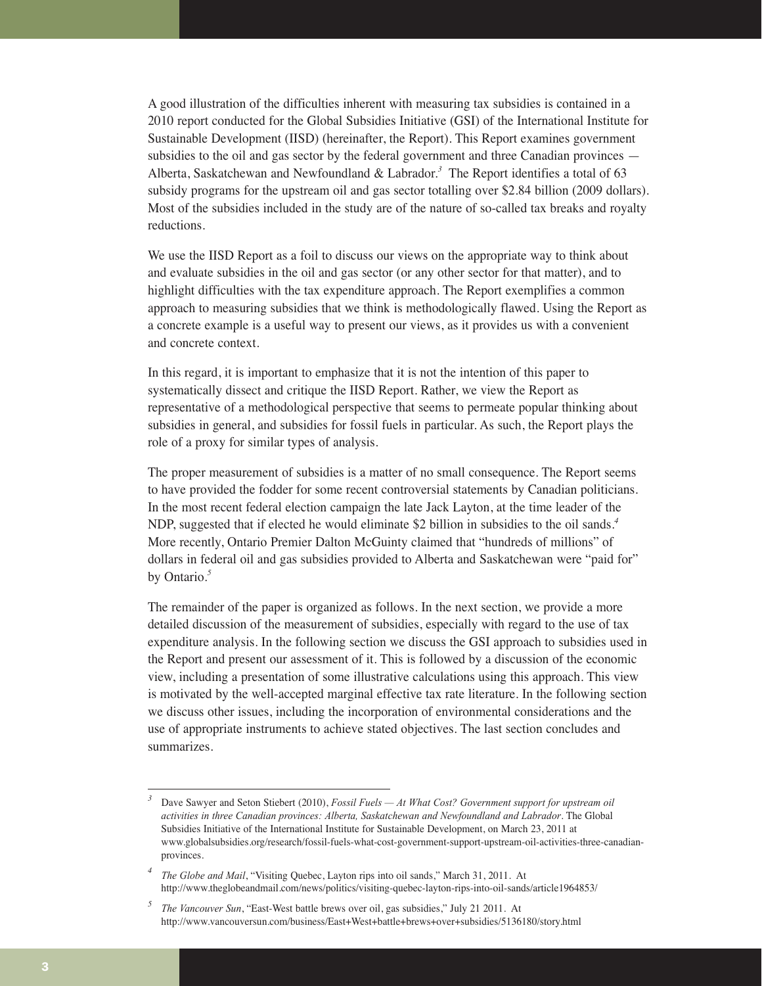A good illustration of the difficulties inherent with measuring tax subsidies is contained in a 2010 report conducted for the Global Subsidies Initiative (GSI) of the International Institute for Sustainable Development (IISD) (hereinafter, the Report). This Report examines government subsidies to the oil and gas sector by the federal government and three Canadian provinces — Alberta, Saskatchewan and Newfoundland & Labrador.*<sup>3</sup>* The Report identifies a total of 63 subsidy programs for the upstream oil and gas sector totalling over \$2.84 billion (2009 dollars). Most of the subsidies included in the study are of the nature of so-called tax breaks and royalty reductions.

We use the IISD Report as a foil to discuss our views on the appropriate way to think about and evaluate subsidies in the oil and gas sector (or any other sector for that matter), and to highlight difficulties with the tax expenditure approach. The Report exemplifies a common approach to measuring subsidies that we think is methodologically flawed. Using the Report as a concrete example is a useful way to present our views, as it provides us with a convenient and concrete context.

In this regard, it is important to emphasize that it is not the intention of this paper to systematically dissect and critique the IISD Report. Rather, we view the Report as representative of a methodological perspective that seems to permeate popular thinking about subsidies in general, and subsidies for fossil fuels in particular. As such, the Report plays the role of a proxy for similar types of analysis.

The proper measurement of subsidies is a matter of no small consequence. The Report seems to have provided the fodder for some recent controversial statements by Canadian politicians. In the most recent federal election campaign the late Jack Layton, at the time leader of the NDP, suggested that if elected he would eliminate \$2 billion in subsidies to the oil sands.*<sup>4</sup>* More recently, Ontario Premier Dalton McGuinty claimed that "hundreds of millions" of dollars in federal oil and gas subsidies provided to Alberta and Saskatchewan were "paid for" by Ontario.*<sup>5</sup>*

The remainder of the paper is organized as follows. In the next section, we provide a more detailed discussion of the measurement of subsidies, especially with regard to the use of tax expenditure analysis. In the following section we discuss the GSI approach to subsidies used in the Report and present our assessment of it. This is followed by a discussion of the economic view, including a presentation of some illustrative calculations using this approach. This view is motivated by the well-accepted marginal effective tax rate literature. In the following section we discuss other issues, including the incorporation of environmental considerations and the use of appropriate instruments to achieve stated objectives. The last section concludes and summarizes.

*<sup>3</sup>* Dave Sawyer and Seton Stiebert (2010), *Fossil Fuels — At What Cost? Government support for upstream oil activities in three Canadian provinces: Alberta, Saskatchewan and Newfoundland and Labrador*. The Global Subsidies Initiative of the International Institute for Sustainable Development, on March 23, 2011 at www.globalsubsidies.org/research/fossil-fuels-what-cost-government-support-upstream-oil-activities-three-canadianprovinces.

*<sup>4</sup> The Globe and Mail*, "Visiting Quebec, Layton rips into oil sands," March 31, 2011. At http://www.theglobeandmail.com/news/politics/visiting-quebec-layton-rips-into-oil-sands/article1964853/

*<sup>5</sup> The Vancouver Sun*, "East-West battle brews over oil, gas subsidies," July 21 2011. At http://www.vancouversun.com/business/East+West+battle+brews+over+subsidies/5136180/story.html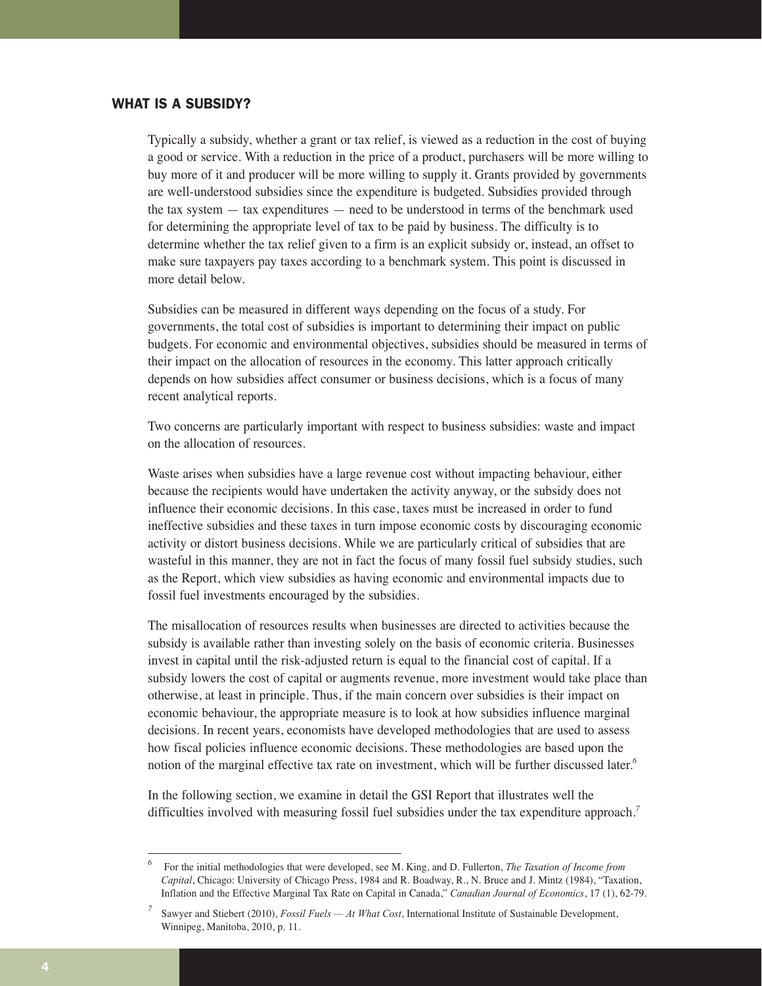# WHAT IS A SUBSIDY?

Typically a subsidy, whether a grant or tax relief, is viewed as a reduction in the cost of buying a good or service. With a reduction in the price of a product, purchasers will be more willing to buy more of it and producer will be more willing to supply it. Grants provided by governments are well-understood subsidies since the expenditure is budgeted. Subsidies provided through the tax system — tax expenditures — need to be understood in terms of the benchmark used for determining the appropriate level of tax to be paid by business. The difficulty is to determine whether the tax relief given to a firm is an explicit subsidy or, instead, an offset to make sure taxpayers pay taxes according to a benchmark system. This point is discussed in more detail below.

Subsidies can be measured in different ways depending on the focus of a study. For governments, the total cost of subsidies is important to determining their impact on public budgets. For economic and environmental objectives, subsidies should be measured in terms of their impact on the allocation of resources in the economy. This latter approach critically depends on how subsidies affect consumer or business decisions, which is a focus of many recent analytical reports.

Two concerns are particularly important with respect to business subsidies: waste and impact on the allocation of resources.

Waste arises when subsidies have a large revenue cost without impacting behaviour, either because the recipients would have undertaken the activity anyway, or the subsidy does not influence their economic decisions. In this case, taxes must be increased in order to fund ineffective subsidies and these taxes in turn impose economic costs by discouraging economic activity or distort business decisions. While we are particularly critical of subsidies that are wasteful in this manner, they are not in fact the focus of many fossil fuel subsidy studies, such as the Report, which view subsidies as having economic and environmental impacts due to fossil fuel investments encouraged by the subsidies.

The misallocation of resources results when businesses are directed to activities because the subsidy is available rather than investing solely on the basis of economic criteria. Businesses invest in capital until the risk-adjusted return is equal to the financial cost of capital. If a subsidy lowers the cost of capital or augments revenue, more investment would take place than otherwise, at least in principle. Thus, if the main concern over subsidies is their impact on economic behaviour, the appropriate measure is to look at how subsidies influence marginal decisions. In recent years, economists have developed methodologies that are used to assess how fiscal policies influence economic decisions. These methodologies are based upon the notion of the marginal effective tax rate on investment, which will be further discussed later.*<sup>6</sup>*

In the following section, we examine in detail the GSI Report that illustrates well the difficulties involved with measuring fossil fuel subsidies under the tax expenditure approach.*<sup>7</sup>*

*<sup>6</sup>* For the initial methodologies that were developed, see M. King, and D. Fullerton, *The Taxation of Income from Capital*, Chicago: University of Chicago Press, 1984 and R. Boadway, R., N. Bruce and J. Mintz (1984), "Taxation, Inflation and the Effective Marginal Tax Rate on Capital in Canada," *Canadian Journal of Economics*, 17 (1), 62-79.

*<sup>7</sup>* Sawyer and Stiebert (2010), *Fossil Fuels — At What Cost*, International Institute of Sustainable Development, Winnipeg, Manitoba, 2010, p. 11.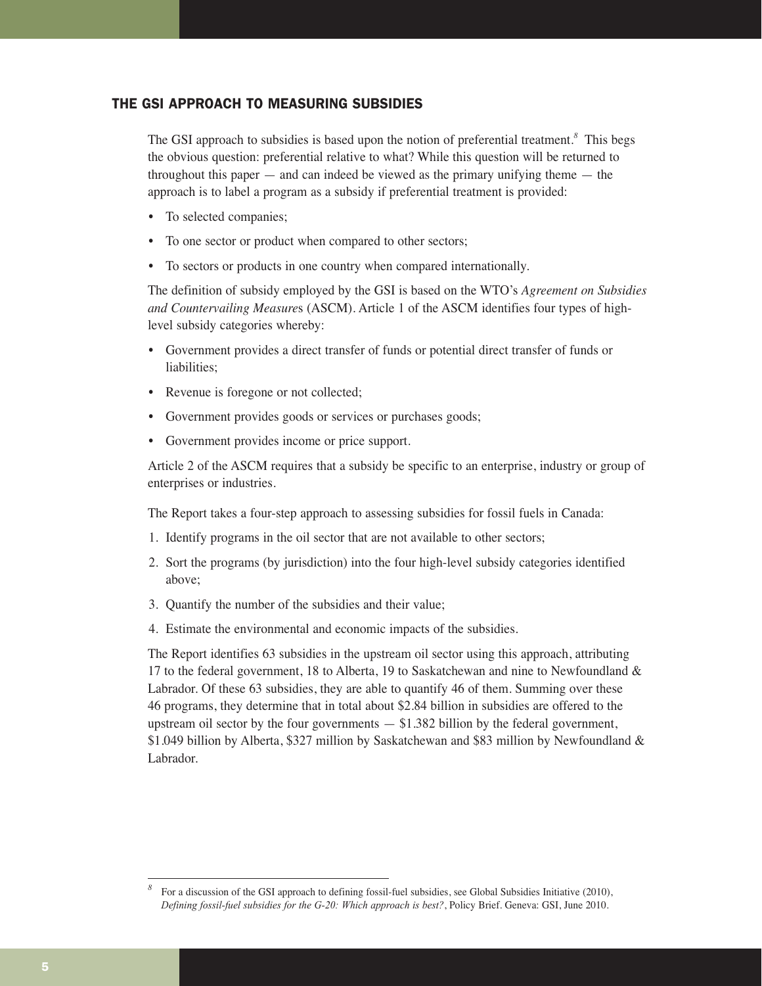# THE GSI APPROACH TO MEASURING SUBSIDIES

The GSI approach to subsidies is based upon the notion of preferential treatment.*<sup>8</sup>* This begs the obvious question: preferential relative to what? While this question will be returned to throughout this paper  $-$  and can indeed be viewed as the primary unifying theme  $-$  the approach is to label a program as a subsidy if preferential treatment is provided:

- To selected companies;
- To one sector or product when compared to other sectors;
- To sectors or products in one country when compared internationally.

The definition of subsidy employed by the GSI is based on the WTO's *Agreement on Subsidies and Countervailing Measure*s (ASCM). Article 1 of the ASCM identifies four types of highlevel subsidy categories whereby:

- Government provides a direct transfer of funds or potential direct transfer of funds or liabilities;
- Revenue is foregone or not collected;
- Government provides goods or services or purchases goods;
- Government provides income or price support.

Article 2 of the ASCM requires that a subsidy be specific to an enterprise, industry or group of enterprises or industries.

The Report takes a four-step approach to assessing subsidies for fossil fuels in Canada:

- 1. Identify programs in the oil sector that are not available to other sectors;
- 2. Sort the programs (by jurisdiction) into the four high-level subsidy categories identified above;
- 3. Quantify the number of the subsidies and their value;
- 4. Estimate the environmental and economic impacts of the subsidies.

The Report identifies 63 subsidies in the upstream oil sector using this approach, attributing 17 to the federal government, 18 to Alberta, 19 to Saskatchewan and nine to Newfoundland & Labrador. Of these 63 subsidies, they are able to quantify 46 of them. Summing over these 46 programs, they determine that in total about \$2.84 billion in subsidies are offered to the upstream oil sector by the four governments  $-$  \$1.382 billion by the federal government, \$1.049 billion by Alberta, \$327 million by Saskatchewan and \$83 million by Newfoundland & Labrador.

For a discussion of the GSI approach to defining fossil-fuel subsidies, see Global Subsidies Initiative (2010), *Defining fossil-fuel subsidies for the G-20: Which approach is best?*, Policy Brief. Geneva: GSI, June 2010.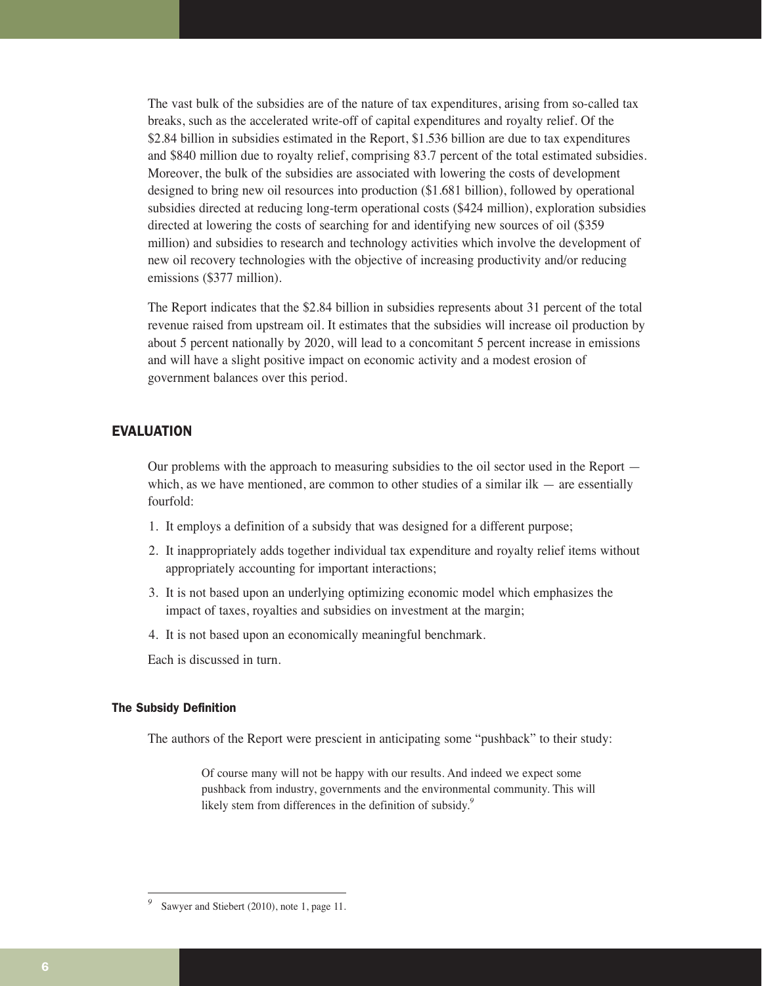The vast bulk of the subsidies are of the nature of tax expenditures, arising from so-called tax breaks, such as the accelerated write-off of capital expenditures and royalty relief. Of the \$2.84 billion in subsidies estimated in the Report, \$1.536 billion are due to tax expenditures and \$840 million due to royalty relief, comprising 83.7 percent of the total estimated subsidies. Moreover, the bulk of the subsidies are associated with lowering the costs of development designed to bring new oil resources into production (\$1.681 billion), followed by operational subsidies directed at reducing long-term operational costs (\$424 million), exploration subsidies directed at lowering the costs of searching for and identifying new sources of oil (\$359 million) and subsidies to research and technology activities which involve the development of new oil recovery technologies with the objective of increasing productivity and/or reducing emissions (\$377 million).

The Report indicates that the \$2.84 billion in subsidies represents about 31 percent of the total revenue raised from upstream oil. It estimates that the subsidies will increase oil production by about 5 percent nationally by 2020, will lead to a concomitant 5 percent increase in emissions and will have a slight positive impact on economic activity and a modest erosion of government balances over this period.

# EVALUATION

Our problems with the approach to measuring subsidies to the oil sector used in the Report which, as we have mentioned, are common to other studies of a similar ilk  $-$  are essentially fourfold:

- 1. It employs a definition of a subsidy that was designed for a different purpose;
- 2. It inappropriately adds together individual tax expenditure and royalty relief items without appropriately accounting for important interactions;
- 3. It is not based upon an underlying optimizing economic model which emphasizes the impact of taxes, royalties and subsidies on investment at the margin;
- 4. It is not based upon an economically meaningful benchmark.

Each is discussed in turn.

#### The Subsidy Definition

The authors of the Report were prescient in anticipating some "pushback" to their study:

Of course many will not be happy with our results. And indeed we expect some pushback from industry, governments and the environmental community. This will likely stem from differences in the definition of subsidy.<sup>9</sup>

Sawyer and Stiebert (2010), note 1, page 11.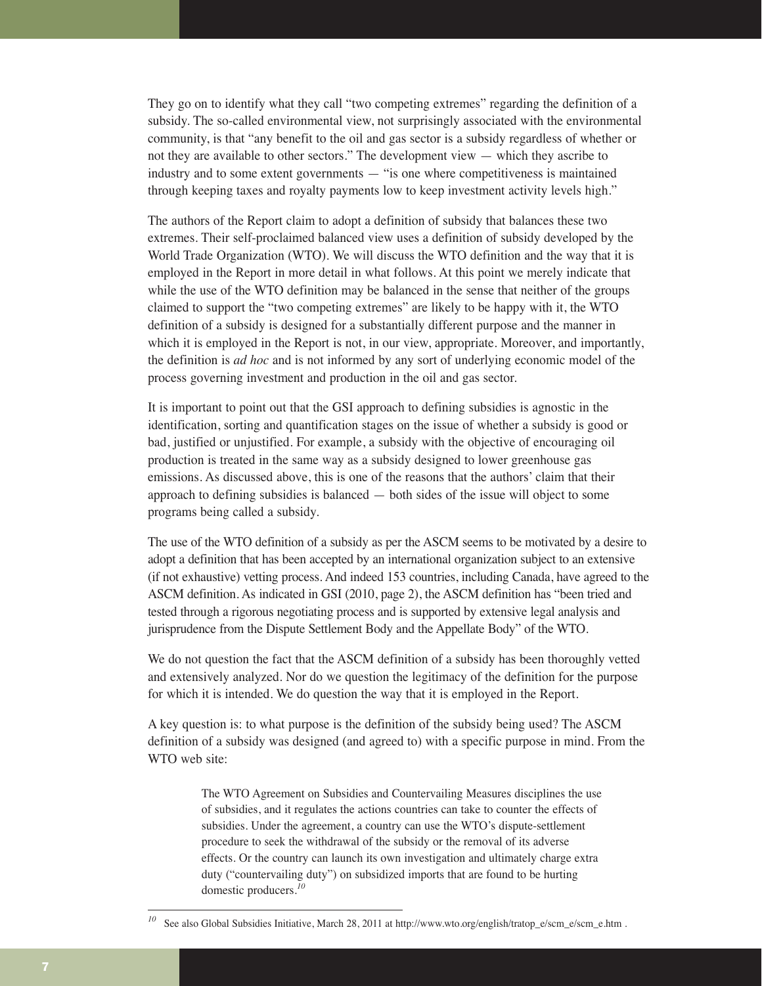They go on to identify what they call "two competing extremes" regarding the definition of a subsidy. The so-called environmental view, not surprisingly associated with the environmental community, is that "any benefit to the oil and gas sector is a subsidy regardless of whether or not they are available to other sectors." The development view — which they ascribe to industry and to some extent governments — "is one where competitiveness is maintained through keeping taxes and royalty payments low to keep investment activity levels high."

The authors of the Report claim to adopt a definition of subsidy that balances these two extremes. Their self-proclaimed balanced view uses a definition of subsidy developed by the World Trade Organization (WTO). We will discuss the WTO definition and the way that it is employed in the Report in more detail in what follows. At this point we merely indicate that while the use of the WTO definition may be balanced in the sense that neither of the groups claimed to support the "two competing extremes" are likely to be happy with it, the WTO definition of a subsidy is designed for a substantially different purpose and the manner in which it is employed in the Report is not, in our view, appropriate. Moreover, and importantly, the definition is *ad hoc* and is not informed by any sort of underlying economic model of the process governing investment and production in the oil and gas sector.

It is important to point out that the GSI approach to defining subsidies is agnostic in the identification, sorting and quantification stages on the issue of whether a subsidy is good or bad, justified or unjustified. For example, a subsidy with the objective of encouraging oil production is treated in the same way as a subsidy designed to lower greenhouse gas emissions. As discussed above, this is one of the reasons that the authors' claim that their approach to defining subsidies is balanced — both sides of the issue will object to some programs being called a subsidy.

The use of the WTO definition of a subsidy as per the ASCM seems to be motivated by a desire to adopt a definition that has been accepted by an international organization subject to an extensive (if not exhaustive) vetting process. And indeed 153 countries, including Canada, have agreed to the ASCM definition. As indicated in GSI (2010, page 2), the ASCM definition has "been tried and tested through a rigorous negotiating process and is supported by extensive legal analysis and jurisprudence from the Dispute Settlement Body and the Appellate Body" of the WTO.

We do not question the fact that the ASCM definition of a subsidy has been thoroughly vetted and extensively analyzed. Nor do we question the legitimacy of the definition for the purpose for which it is intended. We do question the way that it is employed in the Report.

A key question is: to what purpose is the definition of the subsidy being used? The ASCM definition of a subsidy was designed (and agreed to) with a specific purpose in mind. From the WTO web site:

> The WTO Agreement on Subsidies and Countervailing Measures disciplines the use of subsidies, and it regulates the actions countries can take to counter the effects of subsidies. Under the agreement, a country can use the WTO's dispute-settlement procedure to seek the withdrawal of the subsidy or the removal of its adverse effects. Or the country can launch its own investigation and ultimately charge extra duty ("countervailing duty") on subsidized imports that are found to be hurting domestic producers.*<sup>10</sup>*

See also Global Subsidies Initiative, March 28, 2011 at http://www.wto.org/english/tratop\_e/scm\_e/scm\_e.htm .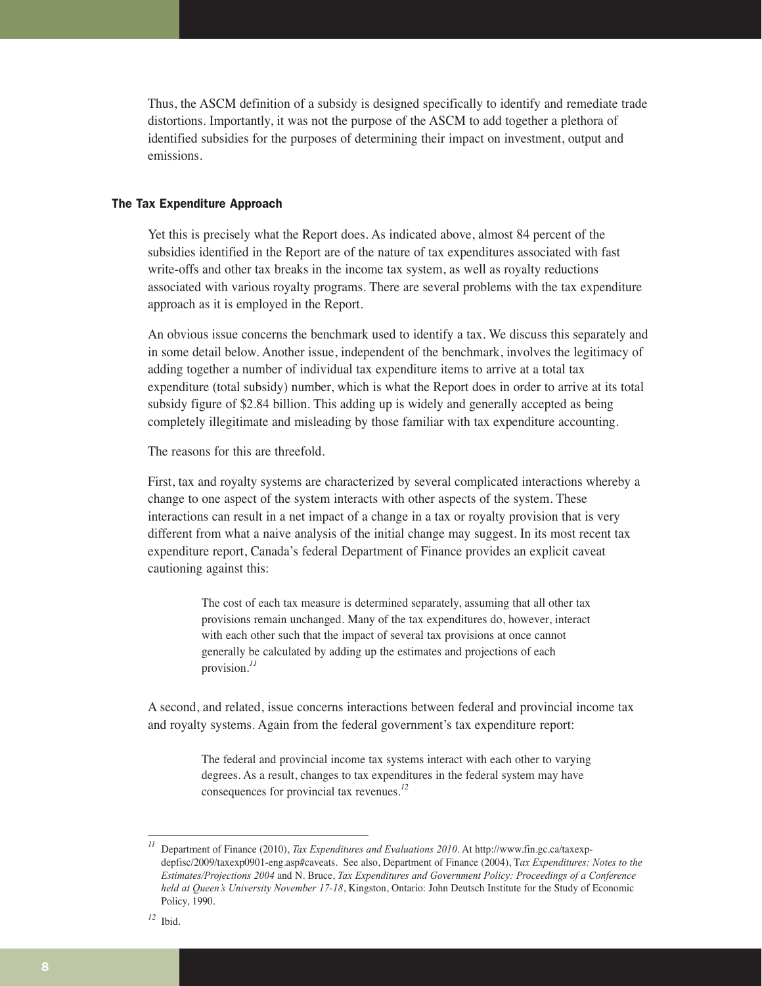Thus, the ASCM definition of a subsidy is designed specifically to identify and remediate trade distortions. Importantly, it was not the purpose of the ASCM to add together a plethora of identified subsidies for the purposes of determining their impact on investment, output and emissions.

#### The Tax Expenditure Approach

Yet this is precisely what the Report does. As indicated above, almost 84 percent of the subsidies identified in the Report are of the nature of tax expenditures associated with fast write-offs and other tax breaks in the income tax system, as well as royalty reductions associated with various royalty programs. There are several problems with the tax expenditure approach as it is employed in the Report.

An obvious issue concerns the benchmark used to identify a tax. We discuss this separately and in some detail below. Another issue, independent of the benchmark, involves the legitimacy of adding together a number of individual tax expenditure items to arrive at a total tax expenditure (total subsidy) number, which is what the Report does in order to arrive at its total subsidy figure of \$2.84 billion. This adding up is widely and generally accepted as being completely illegitimate and misleading by those familiar with tax expenditure accounting.

The reasons for this are threefold.

First, tax and royalty systems are characterized by several complicated interactions whereby a change to one aspect of the system interacts with other aspects of the system. These interactions can result in a net impact of a change in a tax or royalty provision that is very different from what a naive analysis of the initial change may suggest. In its most recent tax expenditure report, Canada's federal Department of Finance provides an explicit caveat cautioning against this:

> The cost of each tax measure is determined separately, assuming that all other tax provisions remain unchanged. Many of the tax expenditures do, however, interact with each other such that the impact of several tax provisions at once cannot generally be calculated by adding up the estimates and projections of each provision.*<sup>11</sup>*

A second, and related, issue concerns interactions between federal and provincial income tax and royalty systems. Again from the federal government's tax expenditure report:

> The federal and provincial income tax systems interact with each other to varying degrees. As a result, changes to tax expenditures in the federal system may have consequences for provincial tax revenues.*<sup>12</sup>*

*<sup>11</sup>* Department of Finance (2010), *Tax Expenditures and Evaluations 2010*. At http://www.fin.gc.ca/taxexpdepfisc/2009/taxexp0901-eng.asp#caveats. See also, Department of Finance (2004), T*ax Expenditures: Notes to the Estimates/Projections 2004* and N. Bruce, *Tax Expenditures and Government Policy: Proceedings of a Conference held at Queen's University November 17-18*, Kingston, Ontario: John Deutsch Institute for the Study of Economic Policy, 1990.

*<sup>12</sup>* Ibid.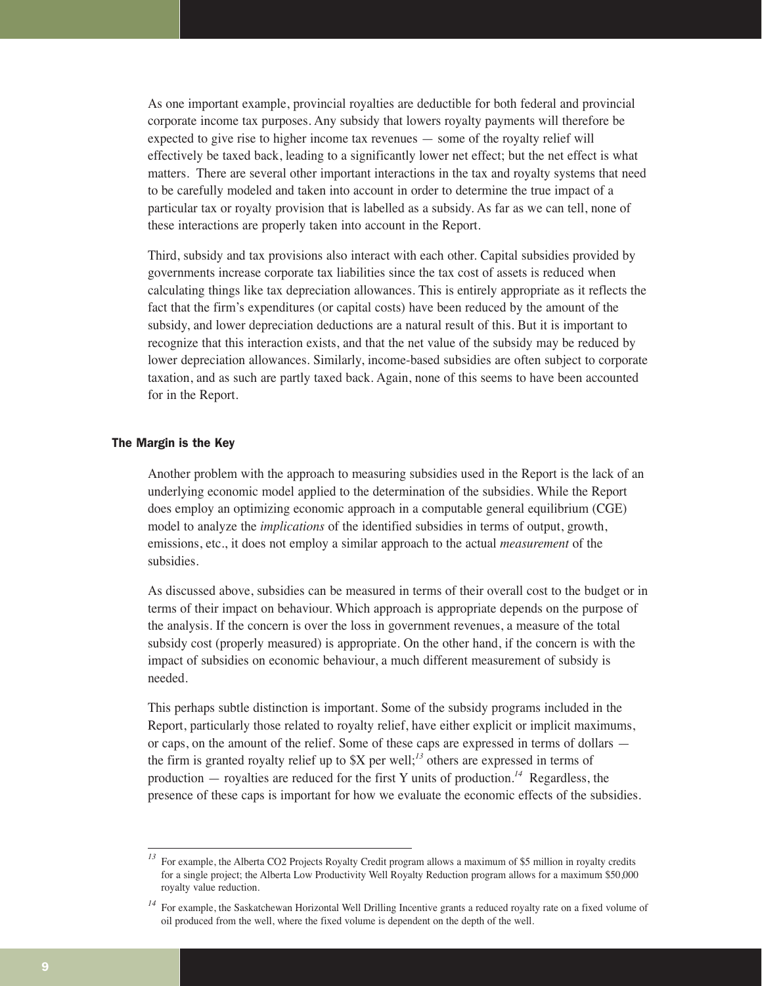As one important example, provincial royalties are deductible for both federal and provincial corporate income tax purposes. Any subsidy that lowers royalty payments will therefore be expected to give rise to higher income tax revenues — some of the royalty relief will effectively be taxed back, leading to a significantly lower net effect; but the net effect is what matters. There are several other important interactions in the tax and royalty systems that need to be carefully modeled and taken into account in order to determine the true impact of a particular tax or royalty provision that is labelled as a subsidy. As far as we can tell, none of these interactions are properly taken into account in the Report.

Third, subsidy and tax provisions also interact with each other. Capital subsidies provided by governments increase corporate tax liabilities since the tax cost of assets is reduced when calculating things like tax depreciation allowances. This is entirely appropriate as it reflects the fact that the firm's expenditures (or capital costs) have been reduced by the amount of the subsidy, and lower depreciation deductions are a natural result of this. But it is important to recognize that this interaction exists, and that the net value of the subsidy may be reduced by lower depreciation allowances. Similarly, income-based subsidies are often subject to corporate taxation, and as such are partly taxed back. Again, none of this seems to have been accounted for in the Report.

#### The Margin is the Key

Another problem with the approach to measuring subsidies used in the Report is the lack of an underlying economic model applied to the determination of the subsidies. While the Report does employ an optimizing economic approach in a computable general equilibrium (CGE) model to analyze the *implications* of the identified subsidies in terms of output, growth, emissions, etc., it does not employ a similar approach to the actual *measurement* of the subsidies.

As discussed above, subsidies can be measured in terms of their overall cost to the budget or in terms of their impact on behaviour. Which approach is appropriate depends on the purpose of the analysis. If the concern is over the loss in government revenues, a measure of the total subsidy cost (properly measured) is appropriate. On the other hand, if the concern is with the impact of subsidies on economic behaviour, a much different measurement of subsidy is needed.

This perhaps subtle distinction is important. Some of the subsidy programs included in the Report, particularly those related to royalty relief, have either explicit or implicit maximums, or caps, on the amount of the relief. Some of these caps are expressed in terms of dollars the firm is granted royalty relief up to \$X per well;*<sup>13</sup>* others are expressed in terms of production — royalties are reduced for the first Y units of production.*<sup>14</sup>* Regardless, the presence of these caps is important for how we evaluate the economic effects of the subsidies.

*<sup>13</sup>* For example, the Alberta CO2 Projects Royalty Credit program allows a maximum of \$5 million in royalty credits for a single project; the Alberta Low Productivity Well Royalty Reduction program allows for a maximum \$50,000 royalty value reduction.

<sup>&</sup>lt;sup>14</sup> For example, the Saskatchewan Horizontal Well Drilling Incentive grants a reduced royalty rate on a fixed volume of oil produced from the well, where the fixed volume is dependent on the depth of the well.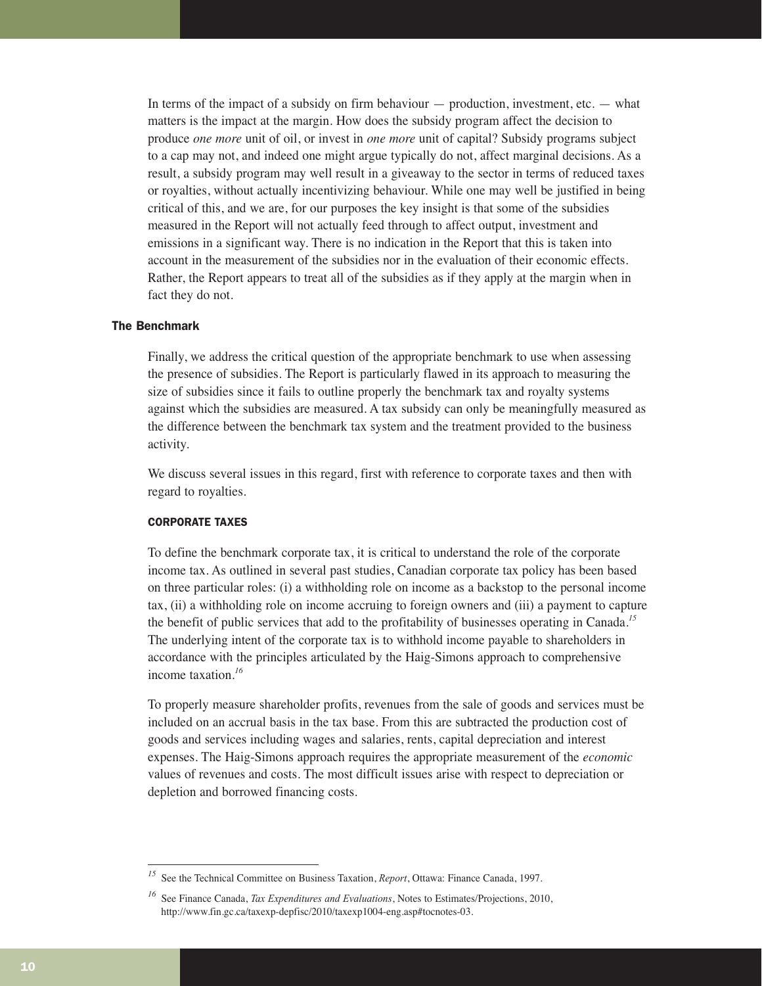In terms of the impact of a subsidy on firm behaviour — production, investment, etc. — what matters is the impact at the margin. How does the subsidy program affect the decision to produce *one more* unit of oil, or invest in *one more* unit of capital? Subsidy programs subject to a cap may not, and indeed one might argue typically do not, affect marginal decisions. As a result, a subsidy program may well result in a giveaway to the sector in terms of reduced taxes or royalties, without actually incentivizing behaviour. While one may well be justified in being critical of this, and we are, for our purposes the key insight is that some of the subsidies measured in the Report will not actually feed through to affect output, investment and emissions in a significant way. There is no indication in the Report that this is taken into account in the measurement of the subsidies nor in the evaluation of their economic effects. Rather, the Report appears to treat all of the subsidies as if they apply at the margin when in fact they do not.

#### The Benchmark

Finally, we address the critical question of the appropriate benchmark to use when assessing the presence of subsidies. The Report is particularly flawed in its approach to measuring the size of subsidies since it fails to outline properly the benchmark tax and royalty systems against which the subsidies are measured. A tax subsidy can only be meaningfully measured as the difference between the benchmark tax system and the treatment provided to the business activity.

We discuss several issues in this regard, first with reference to corporate taxes and then with regard to royalties.

### CORPORATE TAXES

To define the benchmark corporate tax, it is critical to understand the role of the corporate income tax. As outlined in several past studies, Canadian corporate tax policy has been based on three particular roles: (i) a withholding role on income as a backstop to the personal income tax, (ii) a withholding role on income accruing to foreign owners and (iii) a payment to capture the benefit of public services that add to the profitability of businesses operating in Canada.*<sup>15</sup>* The underlying intent of the corporate tax is to withhold income payable to shareholders in accordance with the principles articulated by the Haig-Simons approach to comprehensive income taxation.*<sup>16</sup>*

To properly measure shareholder profits, revenues from the sale of goods and services must be included on an accrual basis in the tax base. From this are subtracted the production cost of goods and services including wages and salaries, rents, capital depreciation and interest expenses. The Haig-Simons approach requires the appropriate measurement of the *economic* values of revenues and costs. The most difficult issues arise with respect to depreciation or depletion and borrowed financing costs.

*<sup>15</sup>* See the Technical Committee on Business Taxation, *Report*, Ottawa: Finance Canada, 1997.

*<sup>16</sup>* See Finance Canada, *Tax Expenditures and Evaluations*, Notes to Estimates/Projections, 2010, http://www.fin.gc.ca/taxexp-depfisc/2010/taxexp1004-eng.asp#tocnotes-03.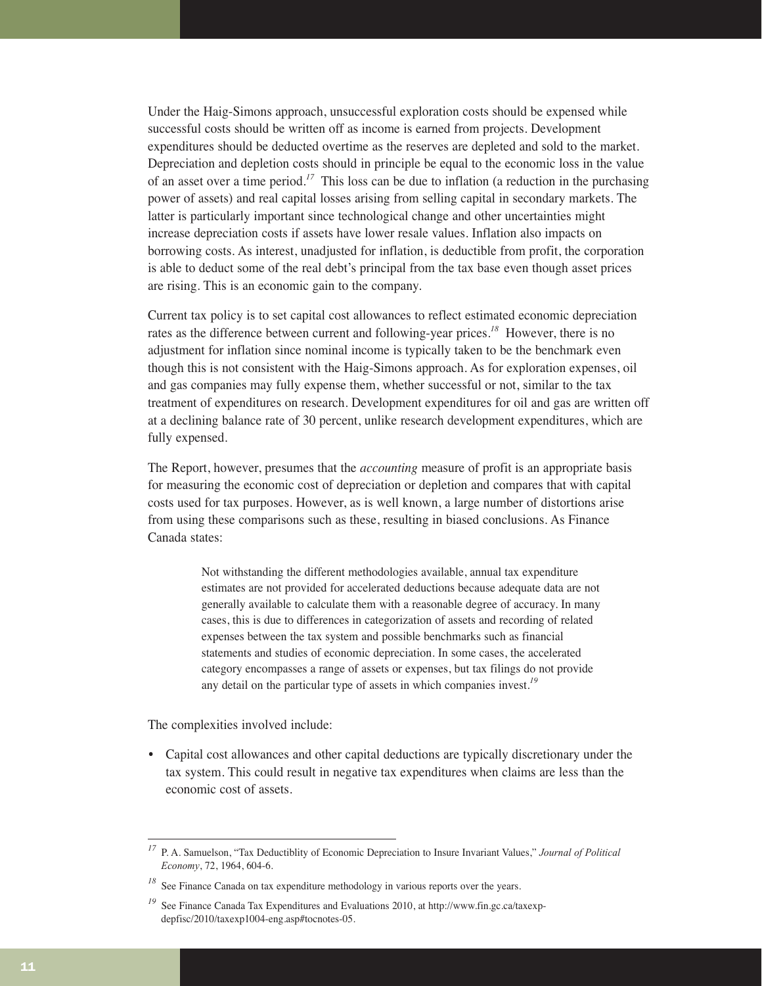Under the Haig-Simons approach, unsuccessful exploration costs should be expensed while successful costs should be written off as income is earned from projects. Development expenditures should be deducted overtime as the reserves are depleted and sold to the market. Depreciation and depletion costs should in principle be equal to the economic loss in the value of an asset over a time period.*<sup>17</sup>* This loss can be due to inflation (a reduction in the purchasing power of assets) and real capital losses arising from selling capital in secondary markets. The latter is particularly important since technological change and other uncertainties might increase depreciation costs if assets have lower resale values. Inflation also impacts on borrowing costs. As interest, unadjusted for inflation, is deductible from profit, the corporation is able to deduct some of the real debt's principal from the tax base even though asset prices are rising. This is an economic gain to the company.

Current tax policy is to set capital cost allowances to reflect estimated economic depreciation rates as the difference between current and following-year prices.*<sup>18</sup>* However, there is no adjustment for inflation since nominal income is typically taken to be the benchmark even though this is not consistent with the Haig-Simons approach. As for exploration expenses, oil and gas companies may fully expense them, whether successful or not, similar to the tax treatment of expenditures on research. Development expenditures for oil and gas are written off at a declining balance rate of 30 percent, unlike research development expenditures, which are fully expensed.

The Report, however, presumes that the *accounting* measure of profit is an appropriate basis for measuring the economic cost of depreciation or depletion and compares that with capital costs used for tax purposes. However, as is well known, a large number of distortions arise from using these comparisons such as these, resulting in biased conclusions. As Finance Canada states:

> Not withstanding the different methodologies available, annual tax expenditure estimates are not provided for accelerated deductions because adequate data are not generally available to calculate them with a reasonable degree of accuracy. In many cases, this is due to differences in categorization of assets and recording of related expenses between the tax system and possible benchmarks such as financial statements and studies of economic depreciation. In some cases, the accelerated category encompasses a range of assets or expenses, but tax filings do not provide any detail on the particular type of assets in which companies invest.*<sup>19</sup>*

The complexities involved include:

• Capital cost allowances and other capital deductions are typically discretionary under the tax system. This could result in negative tax expenditures when claims are less than the economic cost of assets.

*<sup>17</sup>* P. A. Samuelson, "Tax Deductiblity of Economic Depreciation to Insure Invariant Values," *Journal of Political Economy*, 72, 1964, 604-6.

<sup>&</sup>lt;sup>18</sup> See Finance Canada on tax expenditure methodology in various reports over the years.

*<sup>19</sup>* See Finance Canada Tax Expenditures and Evaluations 2010, at http://www.fin.gc.ca/taxexpdepfisc/2010/taxexp1004-eng.asp#tocnotes-05.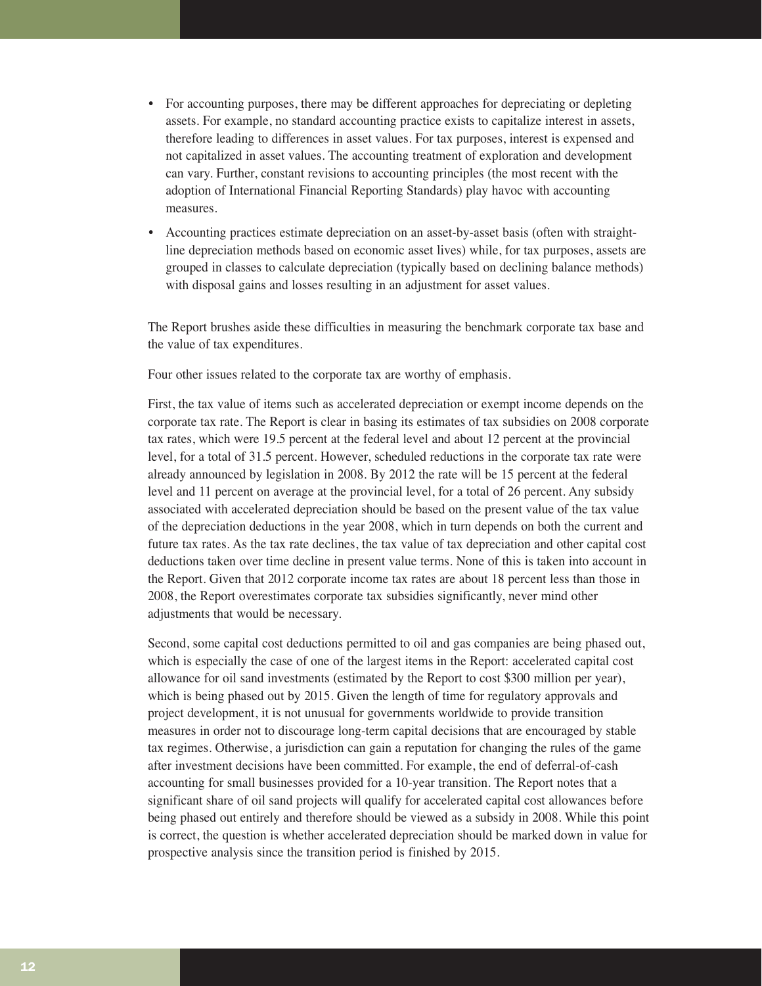- For accounting purposes, there may be different approaches for depreciating or depleting assets. For example, no standard accounting practice exists to capitalize interest in assets, therefore leading to differences in asset values. For tax purposes, interest is expensed and not capitalized in asset values. The accounting treatment of exploration and development can vary. Further, constant revisions to accounting principles (the most recent with the adoption of International Financial Reporting Standards) play havoc with accounting measures.
- Accounting practices estimate depreciation on an asset-by-asset basis (often with straightline depreciation methods based on economic asset lives) while, for tax purposes, assets are grouped in classes to calculate depreciation (typically based on declining balance methods) with disposal gains and losses resulting in an adjustment for asset values.

The Report brushes aside these difficulties in measuring the benchmark corporate tax base and the value of tax expenditures.

Four other issues related to the corporate tax are worthy of emphasis.

First, the tax value of items such as accelerated depreciation or exempt income depends on the corporate tax rate. The Report is clear in basing its estimates of tax subsidies on 2008 corporate tax rates, which were 19.5 percent at the federal level and about 12 percent at the provincial level, for a total of 31.5 percent. However, scheduled reductions in the corporate tax rate were already announced by legislation in 2008. By 2012 the rate will be 15 percent at the federal level and 11 percent on average at the provincial level, for a total of 26 percent. Any subsidy associated with accelerated depreciation should be based on the present value of the tax value of the depreciation deductions in the year 2008, which in turn depends on both the current and future tax rates. As the tax rate declines, the tax value of tax depreciation and other capital cost deductions taken over time decline in present value terms. None of this is taken into account in the Report. Given that 2012 corporate income tax rates are about 18 percent less than those in 2008, the Report overestimates corporate tax subsidies significantly, never mind other adjustments that would be necessary.

Second, some capital cost deductions permitted to oil and gas companies are being phased out, which is especially the case of one of the largest items in the Report: accelerated capital cost allowance for oil sand investments (estimated by the Report to cost \$300 million per year), which is being phased out by 2015. Given the length of time for regulatory approvals and project development, it is not unusual for governments worldwide to provide transition measures in order not to discourage long-term capital decisions that are encouraged by stable tax regimes. Otherwise, a jurisdiction can gain a reputation for changing the rules of the game after investment decisions have been committed. For example, the end of deferral-of-cash accounting for small businesses provided for a 10-year transition. The Report notes that a significant share of oil sand projects will qualify for accelerated capital cost allowances before being phased out entirely and therefore should be viewed as a subsidy in 2008. While this point is correct, the question is whether accelerated depreciation should be marked down in value for prospective analysis since the transition period is finished by 2015.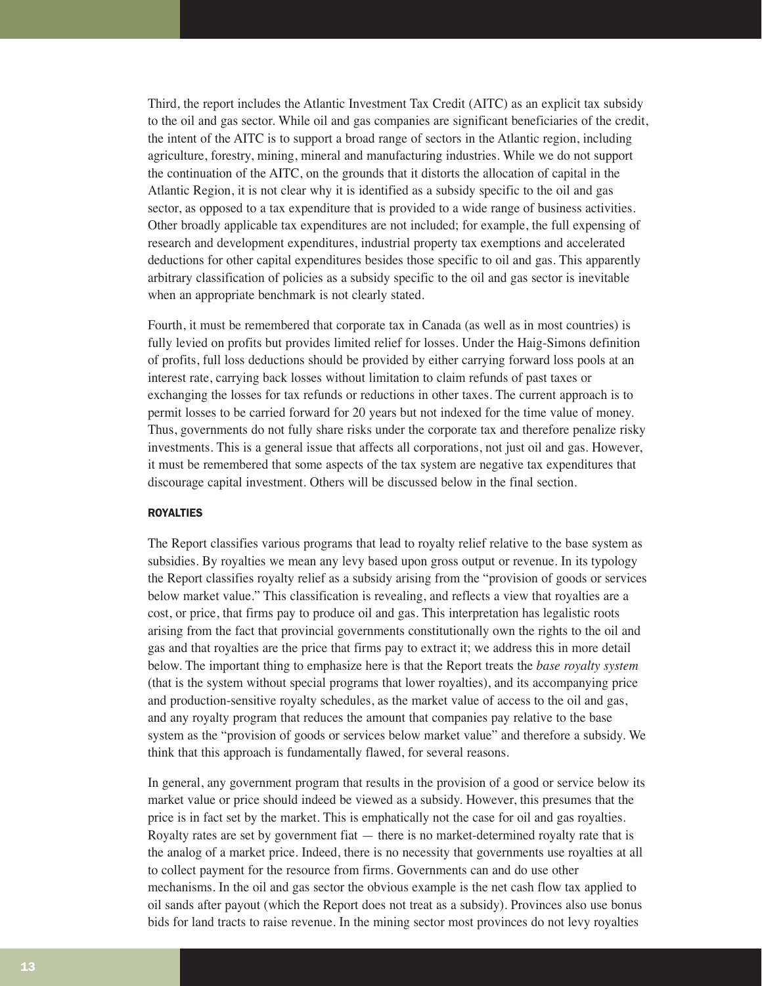Third, the report includes the Atlantic Investment Tax Credit (AITC) as an explicit tax subsidy to the oil and gas sector. While oil and gas companies are significant beneficiaries of the credit, the intent of the AITC is to support a broad range of sectors in the Atlantic region, including agriculture, forestry, mining, mineral and manufacturing industries. While we do not support the continuation of the AITC, on the grounds that it distorts the allocation of capital in the Atlantic Region, it is not clear why it is identified as a subsidy specific to the oil and gas sector, as opposed to a tax expenditure that is provided to a wide range of business activities. Other broadly applicable tax expenditures are not included; for example, the full expensing of research and development expenditures, industrial property tax exemptions and accelerated deductions for other capital expenditures besides those specific to oil and gas. This apparently arbitrary classification of policies as a subsidy specific to the oil and gas sector is inevitable when an appropriate benchmark is not clearly stated.

Fourth, it must be remembered that corporate tax in Canada (as well as in most countries) is fully levied on profits but provides limited relief for losses. Under the Haig-Simons definition of profits, full loss deductions should be provided by either carrying forward loss pools at an interest rate, carrying back losses without limitation to claim refunds of past taxes or exchanging the losses for tax refunds or reductions in other taxes. The current approach is to permit losses to be carried forward for 20 years but not indexed for the time value of money. Thus, governments do not fully share risks under the corporate tax and therefore penalize risky investments. This is a general issue that affects all corporations, not just oil and gas. However, it must be remembered that some aspects of the tax system are negative tax expenditures that discourage capital investment. Others will be discussed below in the final section.

#### ROYALTIES

The Report classifies various programs that lead to royalty relief relative to the base system as subsidies. By royalties we mean any levy based upon gross output or revenue. In its typology the Report classifies royalty relief as a subsidy arising from the "provision of goods or services below market value." This classification is revealing, and reflects a view that royalties are a cost, or price, that firms pay to produce oil and gas. This interpretation has legalistic roots arising from the fact that provincial governments constitutionally own the rights to the oil and gas and that royalties are the price that firms pay to extract it; we address this in more detail below. The important thing to emphasize here is that the Report treats the *base royalty system* (that is the system without special programs that lower royalties), and its accompanying price and production-sensitive royalty schedules, as the market value of access to the oil and gas, and any royalty program that reduces the amount that companies pay relative to the base system as the "provision of goods or services below market value" and therefore a subsidy. We think that this approach is fundamentally flawed, for several reasons.

In general, any government program that results in the provision of a good or service below its market value or price should indeed be viewed as a subsidy. However, this presumes that the price is in fact set by the market. This is emphatically not the case for oil and gas royalties. Royalty rates are set by government fiat — there is no market-determined royalty rate that is the analog of a market price. Indeed, there is no necessity that governments use royalties at all to collect payment for the resource from firms. Governments can and do use other mechanisms. In the oil and gas sector the obvious example is the net cash flow tax applied to oil sands after payout (which the Report does not treat as a subsidy). Provinces also use bonus bids for land tracts to raise revenue. In the mining sector most provinces do not levy royalties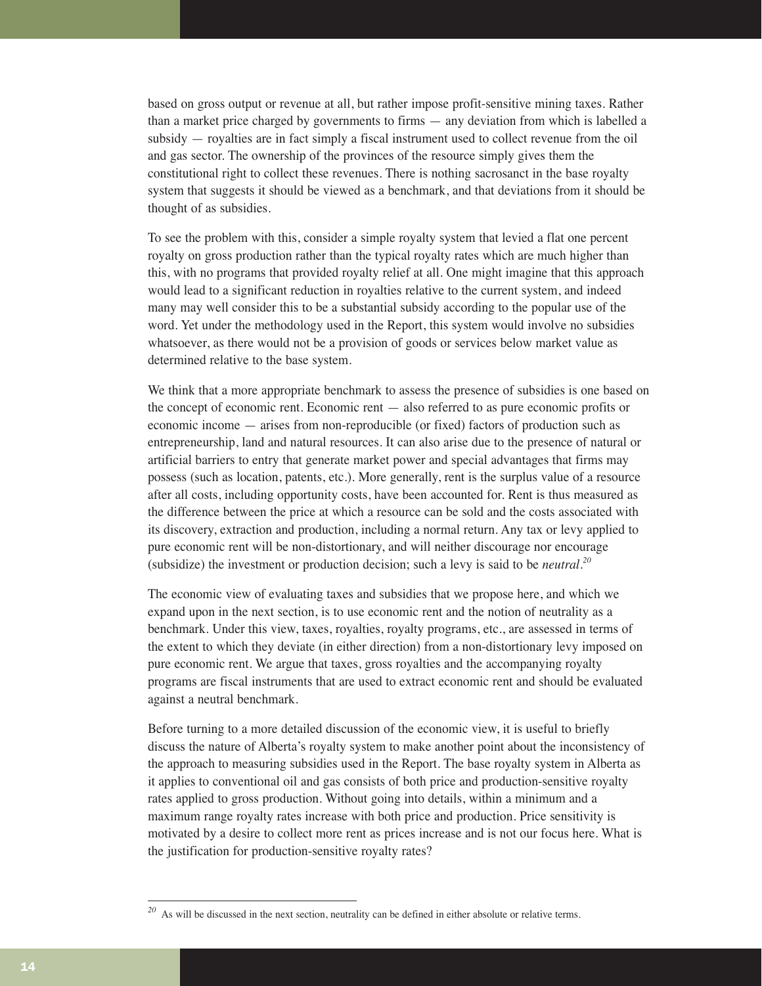based on gross output or revenue at all, but rather impose profit-sensitive mining taxes. Rather than a market price charged by governments to firms — any deviation from which is labelled a subsidy — royalties are in fact simply a fiscal instrument used to collect revenue from the oil and gas sector. The ownership of the provinces of the resource simply gives them the constitutional right to collect these revenues. There is nothing sacrosanct in the base royalty system that suggests it should be viewed as a benchmark, and that deviations from it should be thought of as subsidies.

To see the problem with this, consider a simple royalty system that levied a flat one percent royalty on gross production rather than the typical royalty rates which are much higher than this, with no programs that provided royalty relief at all. One might imagine that this approach would lead to a significant reduction in royalties relative to the current system, and indeed many may well consider this to be a substantial subsidy according to the popular use of the word. Yet under the methodology used in the Report, this system would involve no subsidies whatsoever, as there would not be a provision of goods or services below market value as determined relative to the base system.

We think that a more appropriate benchmark to assess the presence of subsidies is one based on the concept of economic rent. Economic rent — also referred to as pure economic profits or economic income — arises from non-reproducible (or fixed) factors of production such as entrepreneurship, land and natural resources. It can also arise due to the presence of natural or artificial barriers to entry that generate market power and special advantages that firms may possess (such as location, patents, etc.). More generally, rent is the surplus value of a resource after all costs, including opportunity costs, have been accounted for. Rent is thus measured as the difference between the price at which a resource can be sold and the costs associated with its discovery, extraction and production, including a normal return. Any tax or levy applied to pure economic rent will be non-distortionary, and will neither discourage nor encourage (subsidize) the investment or production decision; such a levy is said to be *neutral*. *20*

The economic view of evaluating taxes and subsidies that we propose here, and which we expand upon in the next section, is to use economic rent and the notion of neutrality as a benchmark. Under this view, taxes, royalties, royalty programs, etc., are assessed in terms of the extent to which they deviate (in either direction) from a non-distortionary levy imposed on pure economic rent. We argue that taxes, gross royalties and the accompanying royalty programs are fiscal instruments that are used to extract economic rent and should be evaluated against a neutral benchmark.

Before turning to a more detailed discussion of the economic view, it is useful to briefly discuss the nature of Alberta's royalty system to make another point about the inconsistency of the approach to measuring subsidies used in the Report. The base royalty system in Alberta as it applies to conventional oil and gas consists of both price and production-sensitive royalty rates applied to gross production. Without going into details, within a minimum and a maximum range royalty rates increase with both price and production. Price sensitivity is motivated by a desire to collect more rent as prices increase and is not our focus here. What is the justification for production-sensitive royalty rates?

*<sup>20</sup>* As will be discussed in the next section, neutrality can be defined in either absolute or relative terms.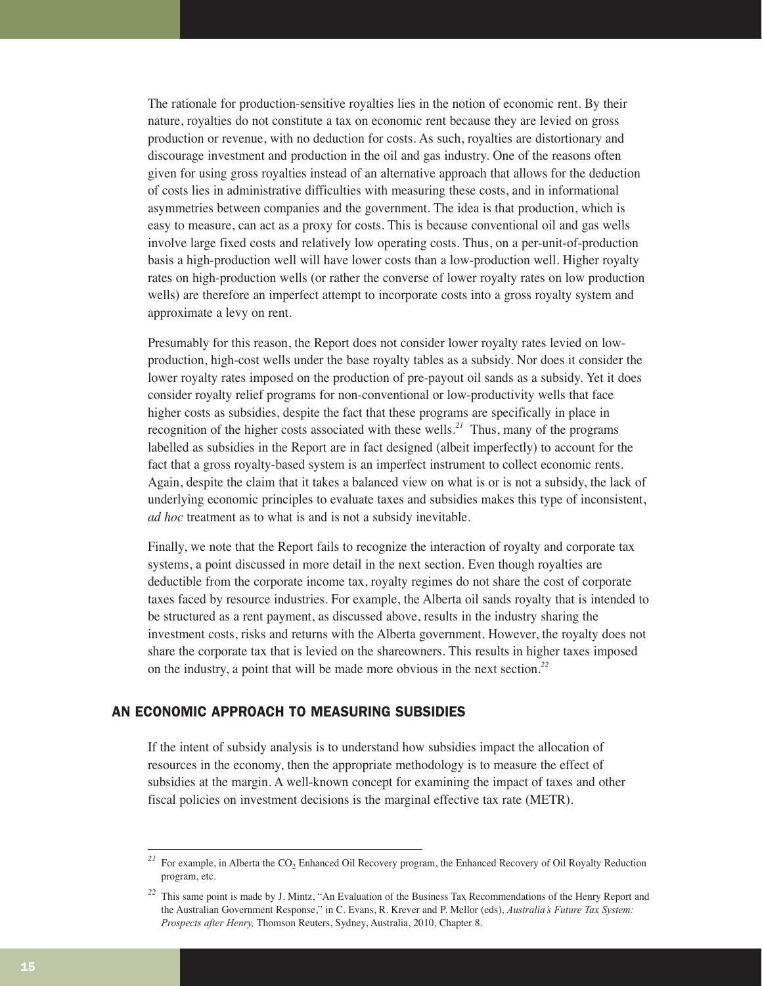The rationale for production-sensitive royalties lies in the notion of economic rent. By their nature, royalties do not constitute a tax on economic rent because they are levied on gross production or revenue, with no deduction for costs. As such, royalties are distortionary and discourage investment and production in the oil and gas industry. One of the reasons often given for using gross royalties instead of an alternative approach that allows for the deduction of costs lies in administrative difficulties with measuring these costs, and in informational asymmetries between companies and the government. The idea is that production, which is easy to measure, can act as a proxy for costs. This is because conventional oil and gas wells involve large fixed costs and relatively low operating costs. Thus, on a per-unit-of-production basis a high-production well will have lower costs than a low-production well. Higher royalty rates on high-production wells (or rather the converse of lower royalty rates on low production wells) are therefore an imperfect attempt to incorporate costs into a gross royalty system and approximate a levy on rent.

Presumably for this reason, the Report does not consider lower royalty rates levied on lowproduction, high-cost wells under the base royalty tables as a subsidy. Nor does it consider the lower royalty rates imposed on the production of pre-payout oil sands as a subsidy. Yet it does consider royalty relief programs for non-conventional or low-productivity wells that face higher costs as subsidies, despite the fact that these programs are specifically in place in recognition of the higher costs associated with these wells.*<sup>21</sup>* Thus, many of the programs labelled as subsidies in the Report are in fact designed (albeit imperfectly) to account for the fact that a gross royalty-based system is an imperfect instrument to collect economic rents. Again, despite the claim that it takes a balanced view on what is or is not a subsidy, the lack of underlying economic principles to evaluate taxes and subsidies makes this type of inconsistent, *ad hoc* treatment as to what is and is not a subsidy inevitable.

Finally, we note that the Report fails to recognize the interaction of royalty and corporate tax systems, a point discussed in more detail in the next section. Even though royalties are deductible from the corporate income tax, royalty regimes do not share the cost of corporate taxes faced by resource industries. For example, the Alberta oil sands royalty that is intended to be structured as a rent payment, as discussed above, results in the industry sharing the investment costs, risks and returns with the Alberta government. However, the royalty does not share the corporate tax that is levied on the shareowners. This results in higher taxes imposed on the industry, a point that will be made more obvious in the next section.*<sup>22</sup>*

# AN ECONOMIC APPROACH TO MEASURING SUBSIDIES

If the intent of subsidy analysis is to understand how subsidies impact the allocation of resources in the economy, then the appropriate methodology is to measure the effect of subsidies at the margin. A well-known concept for examining the impact of taxes and other fiscal policies on investment decisions is the marginal effective tax rate (METR).

<sup>&</sup>lt;sup>21</sup> For example, in Alberta the CO<sub>2</sub> Enhanced Oil Recovery program, the Enhanced Recovery of Oil Royalty Reduction program, etc.

*<sup>22</sup>* This same point is made by J. Mintz, "An Evaluation of the Business Tax Recommendations of the Henry Report and the Australian Government Response," in C. Evans, R. Krever and P. Mellor (eds), *Australia's Future Tax System: Prospects after Henry,* Thomson Reuters, Sydney, Australia, 2010, Chapter 8.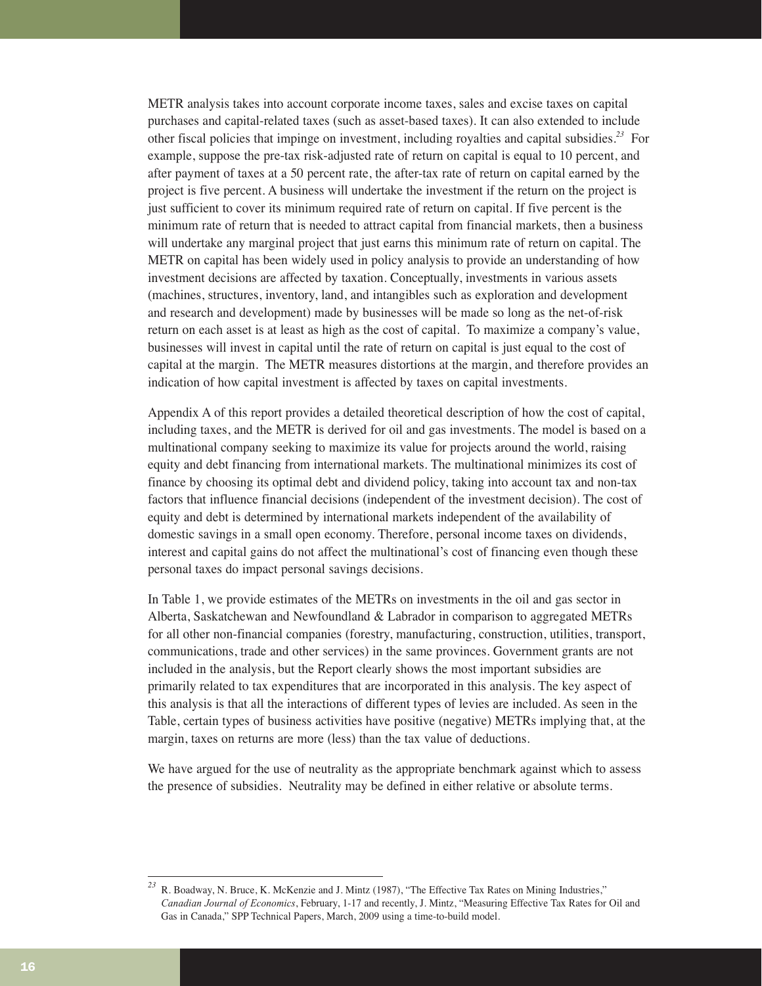METR analysis takes into account corporate income taxes, sales and excise taxes on capital purchases and capital-related taxes (such as asset-based taxes). It can also extended to include other fiscal policies that impinge on investment, including royalties and capital subsidies.*<sup>23</sup>* For example, suppose the pre-tax risk-adjusted rate of return on capital is equal to 10 percent, and after payment of taxes at a 50 percent rate, the after-tax rate of return on capital earned by the project is five percent. A business will undertake the investment if the return on the project is just sufficient to cover its minimum required rate of return on capital. If five percent is the minimum rate of return that is needed to attract capital from financial markets, then a business will undertake any marginal project that just earns this minimum rate of return on capital. The METR on capital has been widely used in policy analysis to provide an understanding of how investment decisions are affected by taxation. Conceptually, investments in various assets (machines, structures, inventory, land, and intangibles such as exploration and development and research and development) made by businesses will be made so long as the net-of-risk return on each asset is at least as high as the cost of capital. To maximize a company's value, businesses will invest in capital until the rate of return on capital is just equal to the cost of capital at the margin. The METR measures distortions at the margin, and therefore provides an indication of how capital investment is affected by taxes on capital investments.

Appendix A of this report provides a detailed theoretical description of how the cost of capital, including taxes, and the METR is derived for oil and gas investments. The model is based on a multinational company seeking to maximize its value for projects around the world, raising equity and debt financing from international markets. The multinational minimizes its cost of finance by choosing its optimal debt and dividend policy, taking into account tax and non-tax factors that influence financial decisions (independent of the investment decision). The cost of equity and debt is determined by international markets independent of the availability of domestic savings in a small open economy. Therefore, personal income taxes on dividends, interest and capital gains do not affect the multinational's cost of financing even though these personal taxes do impact personal savings decisions.

In Table 1, we provide estimates of the METRs on investments in the oil and gas sector in Alberta, Saskatchewan and Newfoundland & Labrador in comparison to aggregated METRs for all other non-financial companies (forestry, manufacturing, construction, utilities, transport, communications, trade and other services) in the same provinces. Government grants are not included in the analysis, but the Report clearly shows the most important subsidies are primarily related to tax expenditures that are incorporated in this analysis. The key aspect of this analysis is that all the interactions of different types of levies are included. As seen in the Table, certain types of business activities have positive (negative) METRs implying that, at the margin, taxes on returns are more (less) than the tax value of deductions.

We have argued for the use of neutrality as the appropriate benchmark against which to assess the presence of subsidies. Neutrality may be defined in either relative or absolute terms.

*<sup>23</sup>* R. Boadway, N. Bruce, K. McKenzie and J. Mintz (1987), "The Effective Tax Rates on Mining Industries," *Canadian Journal of Economics*, February, 1-17 and recently, J. Mintz, "Measuring Effective Tax Rates for Oil and Gas in Canada," SPP Technical Papers, March, 2009 using a time-to-build model.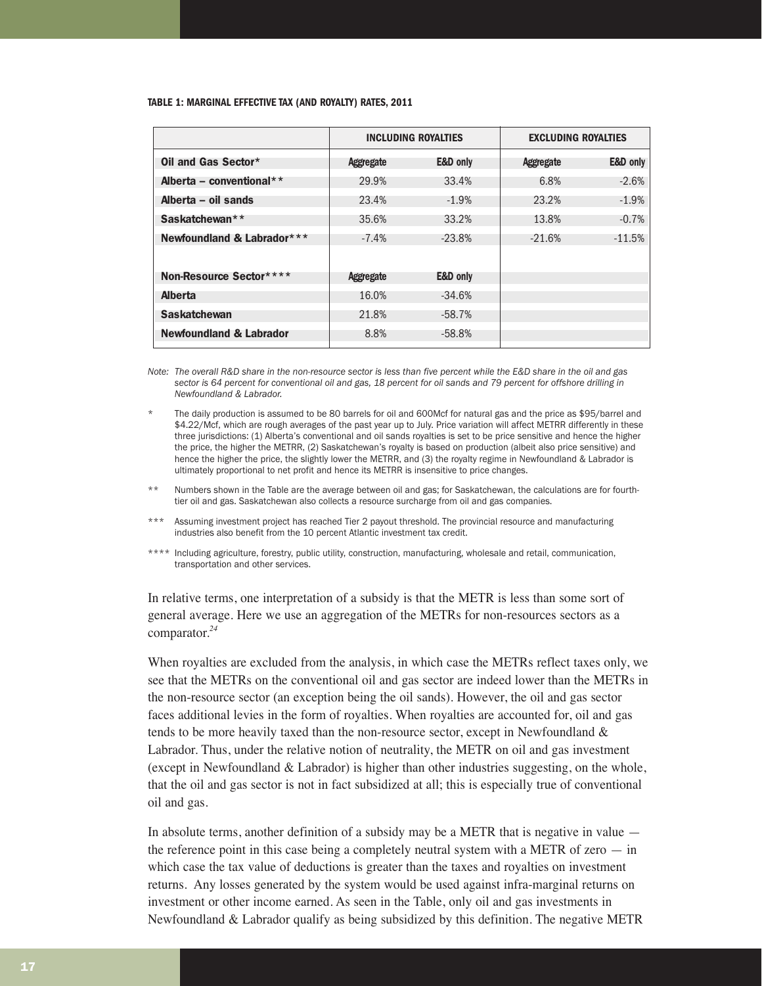#### **TABLE 1: MARGINAL EFFECTIVE TAX (AND ROYALTY) RATES, 2011**

|                                    | <b>INCLUDING ROYALTIES</b> |                     | <b>EXCLUDING ROYALTIES</b> |                     |
|------------------------------------|----------------------------|---------------------|----------------------------|---------------------|
| Oil and Gas Sector*                | Aggregate                  | <b>E&amp;D only</b> | Aggregate                  | <b>E&amp;D only</b> |
| Alberta – conventional **          | 29.9%                      | 33.4%               | 6.8%                       | $-2.6%$             |
| Alberta - oil sands                | 23.4%                      | $-1.9%$             | 23.2%                      | $-1.9%$             |
| Saskatchewan**                     | 35.6%                      | 33.2%               | 13.8%                      | $-0.7%$             |
| Newfoundland & Labrador***         | $-7.4\%$                   | $-23.8%$            | $-21.6%$                   | $-11.5%$            |
|                                    |                            |                     |                            |                     |
| Non-Resource Sector****            | Aggregate                  | <b>E&amp;D only</b> |                            |                     |
| <b>Alberta</b>                     | 16.0%                      | $-34.6%$            |                            |                     |
| <b>Saskatchewan</b>                | 21.8%                      | $-58.7%$            |                            |                     |
| <b>Newfoundland &amp; Labrador</b> | 8.8%                       | $-58.8%$            |                            |                     |

*Note: The overall R&D share in the non-resource sector is less than five percent while the E&D share in the oil and gas sector is 64 percent for conventional oil and gas, 18 percent for oil sands and 79 percent for offshore drilling in Newfoundland & Labrador.*

- The daily production is assumed to be 80 barrels for oil and 600Mcf for natural gas and the price as \$95/barrel and \$4.22/Mcf, which are rough averages of the past year up to July. Price variation will affect METRR differently in these three jurisdictions: (1) Alberta's conventional and oil sands royalties is set to be price sensitive and hence the higher the price, the higher the METRR, (2) Saskatchewan's royalty is based on production (albeit also price sensitive) and hence the higher the price, the slightly lower the METRR, and (3) the royalty regime in Newfoundland & Labrador is ultimately proportional to net profit and hence its METRR is insensitive to price changes.
- Numbers shown in the Table are the average between oil and gas; for Saskatchewan, the calculations are for fourthtier oil and gas. Saskatchewan also collects a resource surcharge from oil and gas companies.
- \*\*\* Assuming investment project has reached Tier 2 payout threshold. The provincial resource and manufacturing industries also benefit from the 10 percent Atlantic investment tax credit.
- \*\*\*\* Including agriculture, forestry, public utility, construction, manufacturing, wholesale and retail, communication, transportation and other services.

In relative terms, one interpretation of a subsidy is that the METR is less than some sort of general average. Here we use an aggregation of the METRs for non-resources sectors as a comparator.*<sup>24</sup>*

When royalties are excluded from the analysis, in which case the METRs reflect taxes only, we see that the METRs on the conventional oil and gas sector are indeed lower than the METRs in the non-resource sector (an exception being the oil sands). However, the oil and gas sector faces additional levies in the form of royalties. When royalties are accounted for, oil and gas tends to be more heavily taxed than the non-resource sector, except in Newfoundland  $\&$ Labrador. Thus, under the relative notion of neutrality, the METR on oil and gas investment (except in Newfoundland & Labrador) is higher than other industries suggesting, on the whole, that the oil and gas sector is not in fact subsidized at all; this is especially true of conventional oil and gas.

In absolute terms, another definition of a subsidy may be a METR that is negative in value the reference point in this case being a completely neutral system with a METR of zero — in which case the tax value of deductions is greater than the taxes and royalties on investment returns. Any losses generated by the system would be used against infra-marginal returns on investment or other income earned. As seen in the Table, only oil and gas investments in Newfoundland & Labrador qualify as being subsidized by this definition. The negative METR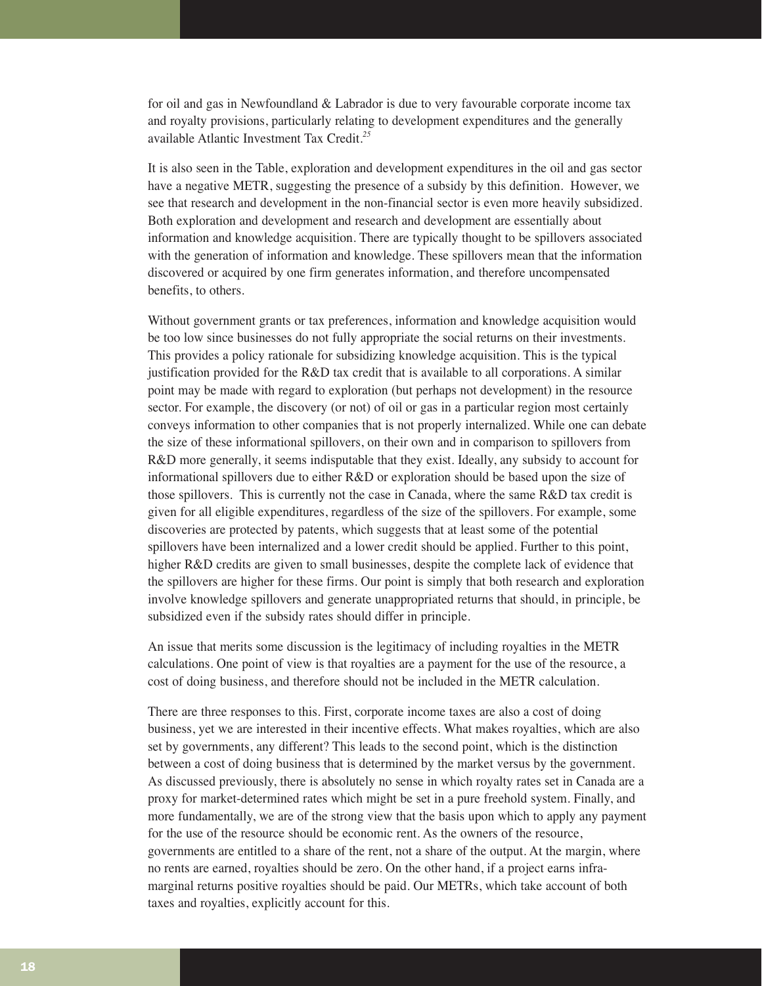for oil and gas in Newfoundland & Labrador is due to very favourable corporate income tax and royalty provisions, particularly relating to development expenditures and the generally available Atlantic Investment Tax Credit.*<sup>25</sup>*

It is also seen in the Table, exploration and development expenditures in the oil and gas sector have a negative METR, suggesting the presence of a subsidy by this definition. However, we see that research and development in the non-financial sector is even more heavily subsidized. Both exploration and development and research and development are essentially about information and knowledge acquisition. There are typically thought to be spillovers associated with the generation of information and knowledge. These spillovers mean that the information discovered or acquired by one firm generates information, and therefore uncompensated benefits, to others.

Without government grants or tax preferences, information and knowledge acquisition would be too low since businesses do not fully appropriate the social returns on their investments. This provides a policy rationale for subsidizing knowledge acquisition. This is the typical justification provided for the R&D tax credit that is available to all corporations. A similar point may be made with regard to exploration (but perhaps not development) in the resource sector. For example, the discovery (or not) of oil or gas in a particular region most certainly conveys information to other companies that is not properly internalized. While one can debate the size of these informational spillovers, on their own and in comparison to spillovers from R&D more generally, it seems indisputable that they exist. Ideally, any subsidy to account for informational spillovers due to either R&D or exploration should be based upon the size of those spillovers. This is currently not the case in Canada, where the same R&D tax credit is given for all eligible expenditures, regardless of the size of the spillovers. For example, some discoveries are protected by patents, which suggests that at least some of the potential spillovers have been internalized and a lower credit should be applied. Further to this point, higher R&D credits are given to small businesses, despite the complete lack of evidence that the spillovers are higher for these firms. Our point is simply that both research and exploration involve knowledge spillovers and generate unappropriated returns that should, in principle, be subsidized even if the subsidy rates should differ in principle.

An issue that merits some discussion is the legitimacy of including royalties in the METR calculations. One point of view is that royalties are a payment for the use of the resource, a cost of doing business, and therefore should not be included in the METR calculation.

There are three responses to this. First, corporate income taxes are also a cost of doing business, yet we are interested in their incentive effects. What makes royalties, which are also set by governments, any different? This leads to the second point, which is the distinction between a cost of doing business that is determined by the market versus by the government. As discussed previously, there is absolutely no sense in which royalty rates set in Canada are a proxy for market-determined rates which might be set in a pure freehold system. Finally, and more fundamentally, we are of the strong view that the basis upon which to apply any payment for the use of the resource should be economic rent. As the owners of the resource, governments are entitled to a share of the rent, not a share of the output. At the margin, where no rents are earned, royalties should be zero. On the other hand, if a project earns inframarginal returns positive royalties should be paid. Our METRs, which take account of both taxes and royalties, explicitly account for this.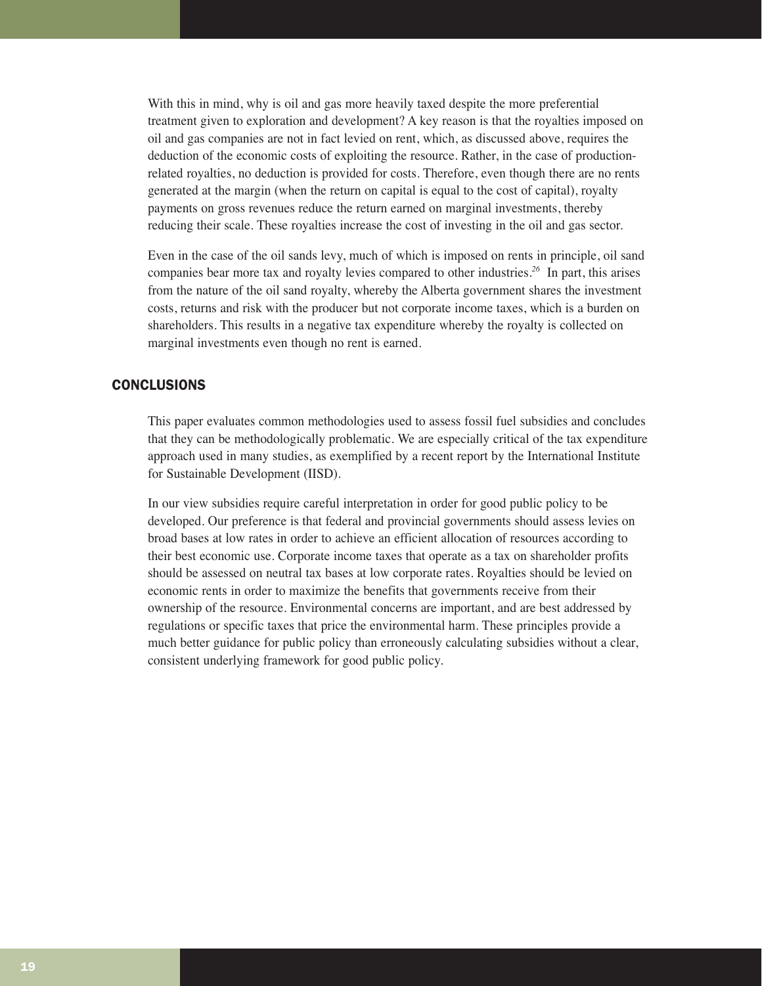With this in mind, why is oil and gas more heavily taxed despite the more preferential treatment given to exploration and development? A key reason is that the royalties imposed on oil and gas companies are not in fact levied on rent, which, as discussed above, requires the deduction of the economic costs of exploiting the resource. Rather, in the case of productionrelated royalties, no deduction is provided for costs. Therefore, even though there are no rents generated at the margin (when the return on capital is equal to the cost of capital), royalty payments on gross revenues reduce the return earned on marginal investments, thereby reducing their scale. These royalties increase the cost of investing in the oil and gas sector.

Even in the case of the oil sands levy, much of which is imposed on rents in principle, oil sand companies bear more tax and royalty levies compared to other industries.*<sup>26</sup>* In part, this arises from the nature of the oil sand royalty, whereby the Alberta government shares the investment costs, returns and risk with the producer but not corporate income taxes, which is a burden on shareholders. This results in a negative tax expenditure whereby the royalty is collected on marginal investments even though no rent is earned.

## **CONCLUSIONS**

This paper evaluates common methodologies used to assess fossil fuel subsidies and concludes that they can be methodologically problematic. We are especially critical of the tax expenditure approach used in many studies, as exemplified by a recent report by the International Institute for Sustainable Development (IISD).

In our view subsidies require careful interpretation in order for good public policy to be developed. Our preference is that federal and provincial governments should assess levies on broad bases at low rates in order to achieve an efficient allocation of resources according to their best economic use. Corporate income taxes that operate as a tax on shareholder profits should be assessed on neutral tax bases at low corporate rates. Royalties should be levied on economic rents in order to maximize the benefits that governments receive from their ownership of the resource. Environmental concerns are important, and are best addressed by regulations or specific taxes that price the environmental harm. These principles provide a much better guidance for public policy than erroneously calculating subsidies without a clear, consistent underlying framework for good public policy.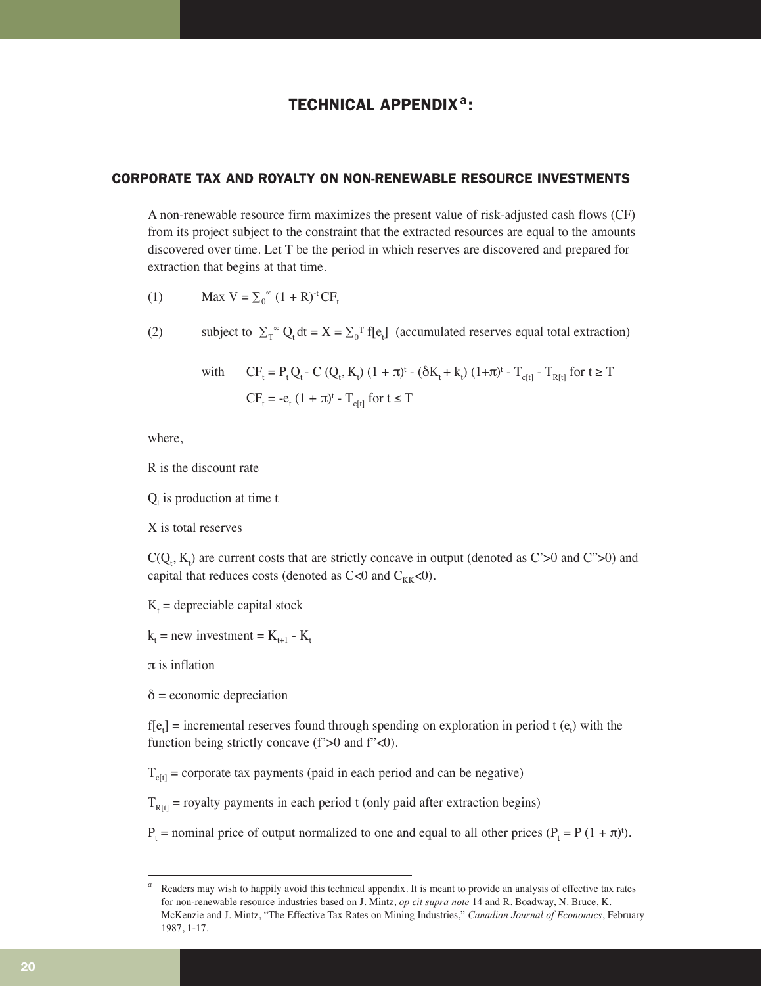# TECHNICAL APPENDIX<sup>a</sup>:

### CORPORATE TAX AND ROYALTY ON NON-RENEWABLE RESOURCE INVESTMENTS

A non-renewable resource firm maximizes the present value of risk-adjusted cash flows (CF) from its project subject to the constraint that the extracted resources are equal to the amounts discovered over time. Let T be the period in which reserves are discovered and prepared for extraction that begins at that time.

- (1) Max  $V = \sum_{0}^{\infty} (1 + R)^{-t} CF_t$
- (2) subject to  $\Sigma_T^{\infty} Q_t dt = X = \Sigma_0^T f[e_t]$  (accumulated reserves equal total extraction)

with 
$$
CF_t = P_t Q_t - C (Q_t, K_t) (1 + \pi)^t - (\delta K_t + k_t) (1 + \pi)^t - T_{c[t]} - T_{R[t]}
$$
 for  $t \ge T$   
 $CF_t = -e_t (1 + \pi)^t - T_{c[t]}$  for  $t \le T$ 

where,

R is the discount rate

 $Q_t$  is production at time t

X is total reserves

 $C(Q_t, K_t)$  are current costs that are strictly concave in output (denoted as C' $>0$  and C' $>0$ ) and capital that reduces costs (denoted as  $C<0$  and  $C_{KK}<0$ ).

 $K_t$  = depreciable capital stock

 $k_t$  = new investment =  $K_{t+1}$  -  $K_t$ 

 $\pi$  is inflation

 $\delta$  = economic depreciation

 $f[e_t]$  = incremental reserves found through spending on exploration in period t  $(e_t)$  with the function being strictly concave  $(f\geq 0)$  and  $f'\leq 0$ .

 $T_{\text{cft}}$  = corporate tax payments (paid in each period and can be negative)

 $T<sub>Rftl</sub>$  = royalty payments in each period t (only paid after extraction begins)

 $P_t$  = nominal price of output normalized to one and equal to all other prices  $(P_t = P (1 + \pi)^t)$ .

*<sup>a</sup>* Readers may wish to happily avoid this technical appendix. It is meant to provide an analysis of effective tax rates for non-renewable resource industries based on J. Mintz, *op cit supra note* 14 and R. Boadway, N. Bruce, K. McKenzie and J. Mintz, "The Effective Tax Rates on Mining Industries," *Canadian Journal of Economics*, February 1987, 1-17.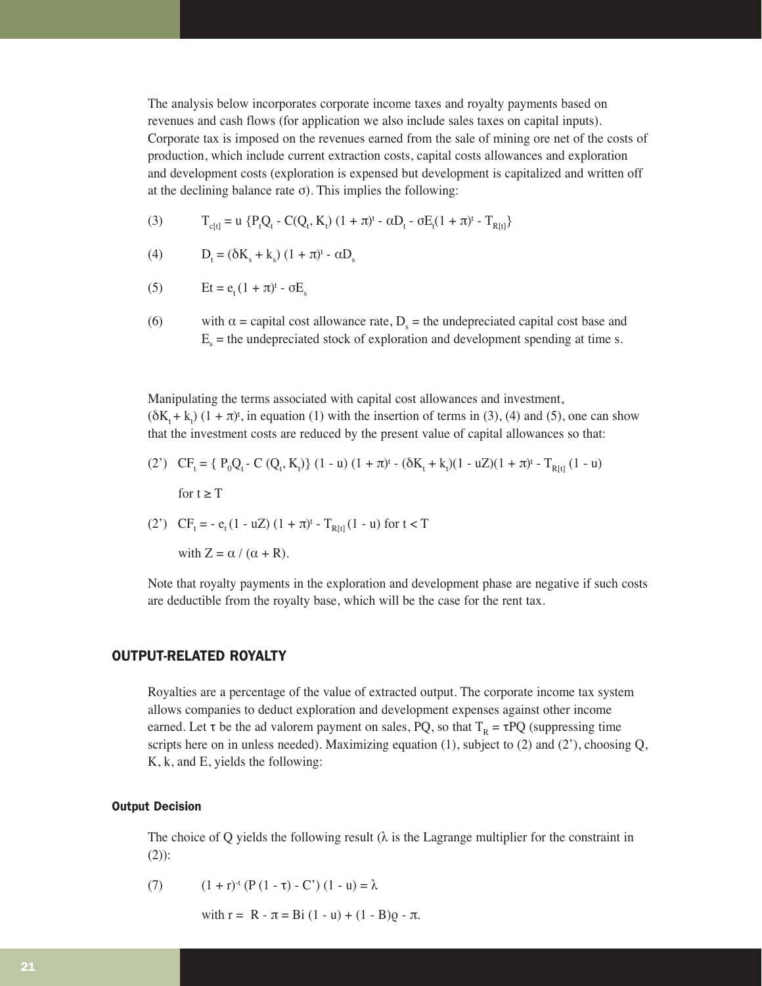The analysis below incorporates corporate income taxes and royalty payments based on revenues and cash flows (for application we also include sales taxes on capital inputs). Corporate tax is imposed on the revenues earned from the sale of mining ore net of the costs of production, which include current extraction costs, capital costs allowances and exploration and development costs (exploration is expensed but development is capitalized and written off at the declining balance rate  $\sigma$ ). This implies the following:

(3) 
$$
T_{c[t]} = u \{P_t Q_t - C(Q_t, K_t) (1 + \pi)^t - \alpha D_t - \sigma E_t (1 + \pi)^t - T_{R[t]}\}
$$

- (4)  $D_t = (\delta K_s + k_s) (1 + \pi)^t \alpha D_s$
- (5)  $Et = e_t (1 + \pi)^t \sigma E_s$
- (6) with  $\alpha$  = capital cost allowance rate,  $D_s$  = the undepreciated capital cost base and  $E<sub>s</sub>$  = the undepreciated stock of exploration and development spending at time s.

Manipulating the terms associated with capital cost allowances and investment,  $(\delta K_t + k_t)$   $(1 + \pi)^t$ , in equation (1) with the insertion of terms in (3), (4) and (5), one can show that the investment costs are reduced by the present value of capital allowances so that:

- (2')  $CF_t = \{ P_0Q_t C(Q_t, K_t) \} (1 u) (1 + \pi)^t (\delta K_t + k_t)(1 uZ)(1 + \pi)^t T_{R[t]} (1 u)$ for  $t \geq T$
- (2)  $CF_t = -e_t (1 uZ) (1 + \pi)^t T_{R[t]} (1 u)$  for  $t < T$

with  $Z = \alpha / (\alpha + R)$ .

Note that royalty payments in the exploration and development phase are negative if such costs are deductible from the royalty base, which will be the case for the rent tax.

# OUTPUT-RELATED ROYALTY

Royalties are a percentage of the value of extracted output. The corporate income tax system allows companies to deduct exploration and development expenses against other income earned. Let  $\tau$  be the ad valorem payment on sales, PQ, so that  $T_R = \tau PQ$  (suppressing time scripts here on in unless needed). Maximizing equation  $(1)$ , subject to  $(2)$  and  $(2')$ , choosing  $Q$ , K, k, and E, yields the following:

#### Output Decision

The choice of Q yields the following result ( $\lambda$  is the Lagrange multiplier for the constraint in (2)):

(7)  $(1 + r)^{-t} (P (1 - \tau) - C') (1 - u) = \lambda$ 

with  $r = R - \pi = Bi(1 - u) + (1 - B)\rho - \pi$ .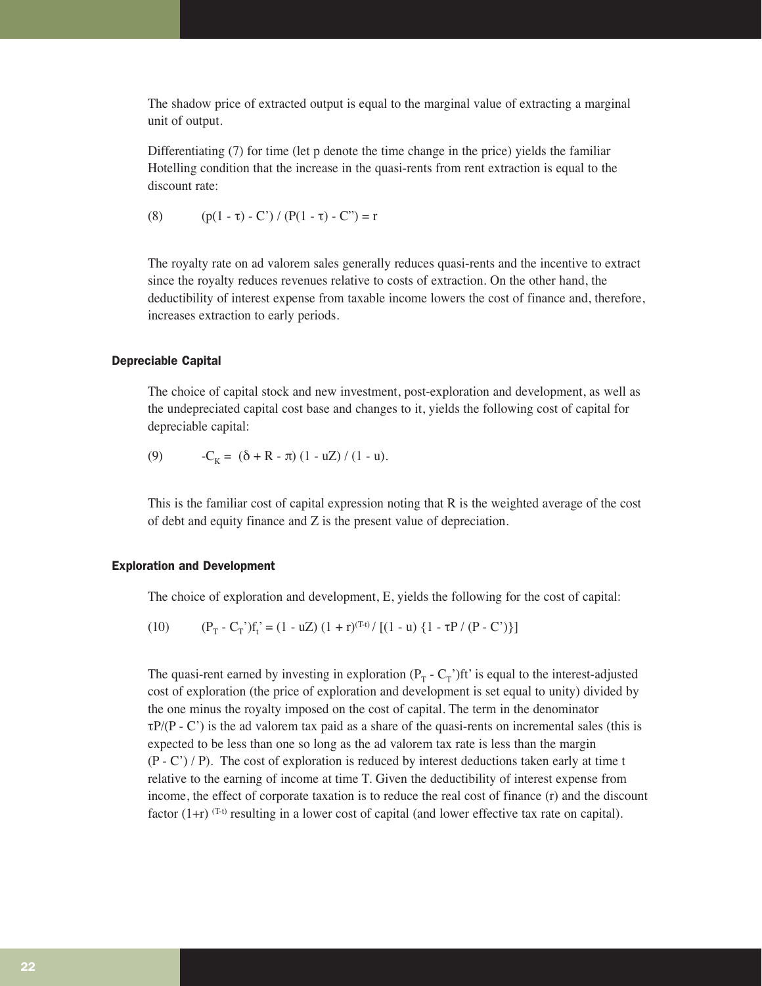The shadow price of extracted output is equal to the marginal value of extracting a marginal unit of output.

Differentiating (7) for time (let p denote the time change in the price) yields the familiar Hotelling condition that the increase in the quasi-rents from rent extraction is equal to the discount rate:

(8) 
$$
(p(1 - \tau) - C') / (P(1 - \tau) - C'') = r
$$

The royalty rate on ad valorem sales generally reduces quasi-rents and the incentive to extract since the royalty reduces revenues relative to costs of extraction. On the other hand, the deductibility of interest expense from taxable income lowers the cost of finance and, therefore, increases extraction to early periods.

#### Depreciable Capital

The choice of capital stock and new investment, post-exploration and development, as well as the undepreciated capital cost base and changes to it, yields the following cost of capital for depreciable capital:

(9) 
$$
-C_K = (\delta + R - \pi) (1 - uZ) / (1 - u).
$$

This is the familiar cost of capital expression noting that R is the weighted average of the cost of debt and equity finance and Z is the present value of depreciation.

#### Exploration and Development

The choice of exploration and development, E, yields the following for the cost of capital:

(10) 
$$
(P_T - C_T^{\prime})f_t^{\prime} = (1 - uZ)(1 + r)^{(T-t)}/[(1 - u) \{1 - \tau P / (P - C^{\prime})\}]
$$

The quasi-rent earned by investing in exploration  $(P_T - C_T^{\bullet})$ ft' is equal to the interest-adjusted cost of exploration (the price of exploration and development is set equal to unity) divided by the one minus the royalty imposed on the cost of capital. The term in the denominator  $\tau P/(P - C')$  is the ad valorem tax paid as a share of the quasi-rents on incremental sales (this is expected to be less than one so long as the ad valorem tax rate is less than the margin  $(P - C') / P$ . The cost of exploration is reduced by interest deductions taken early at time t relative to the earning of income at time T. Given the deductibility of interest expense from income, the effect of corporate taxation is to reduce the real cost of finance (r) and the discount factor  $(1+r)$  (T-t) resulting in a lower cost of capital (and lower effective tax rate on capital).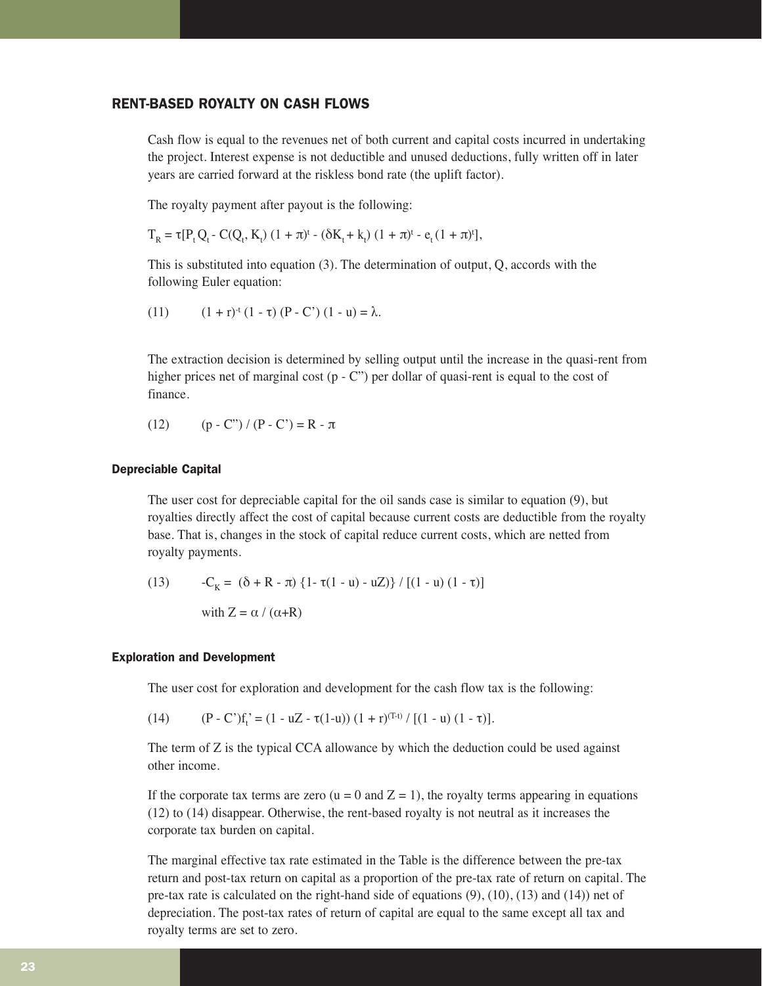# RENT-BASED ROYALTY ON CASH FLOWS

Cash flow is equal to the revenues net of both current and capital costs incurred in undertaking the project. Interest expense is not deductible and unused deductions, fully written off in later years are carried forward at the riskless bond rate (the uplift factor).

The royalty payment after payout is the following:

 $T_R = \tau [P_t Q_t - C(Q_t, K_t) (1 + \pi)^t - (\delta K_t + k_t) (1 + \pi)^t - e_t (1 + \pi)^t],$ 

This is substituted into equation (3). The determination of output, Q, accords with the following Euler equation:

(11) 
$$
(1 + r)^{-t} (1 - \tau) (P - C') (1 - u) = \lambda.
$$

The extraction decision is determined by selling output until the increase in the quasi-rent from higher prices net of marginal cost (p - C") per dollar of quasi-rent is equal to the cost of finance.

(12) 
$$
(p - C'') / (P - C') = R - \pi
$$

### Depreciable Capital

The user cost for depreciable capital for the oil sands case is similar to equation (9), but royalties directly affect the cost of capital because current costs are deductible from the royalty base. That is, changes in the stock of capital reduce current costs, which are netted from royalty payments.

(13)  $-C_K = (\delta + R - \pi) \{1 - \tau(1 - u) - uZ\} / [(1 - u) (1 - \tau)]$ with  $Z = \alpha / (\alpha + R)$ 

#### Exploration and Development

The user cost for exploration and development for the cash flow tax is the following:

(14)  $(P - C')f_t' = (1 - uZ - \tau(1-u))(1 + r)^{(T-t)}/[(1 - u)(1 - \tau)].$ 

The term of Z is the typical CCA allowance by which the deduction could be used against other income.

If the corporate tax terms are zero  $(u = 0 \text{ and } Z = 1)$ , the royalty terms appearing in equations (12) to (14) disappear. Otherwise, the rent-based royalty is not neutral as it increases the corporate tax burden on capital.

The marginal effective tax rate estimated in the Table is the difference between the pre-tax return and post-tax return on capital as a proportion of the pre-tax rate of return on capital. The pre-tax rate is calculated on the right-hand side of equations  $(9)$ ,  $(10)$ ,  $(13)$  and  $(14)$ ) net of depreciation. The post-tax rates of return of capital are equal to the same except all tax and royalty terms are set to zero.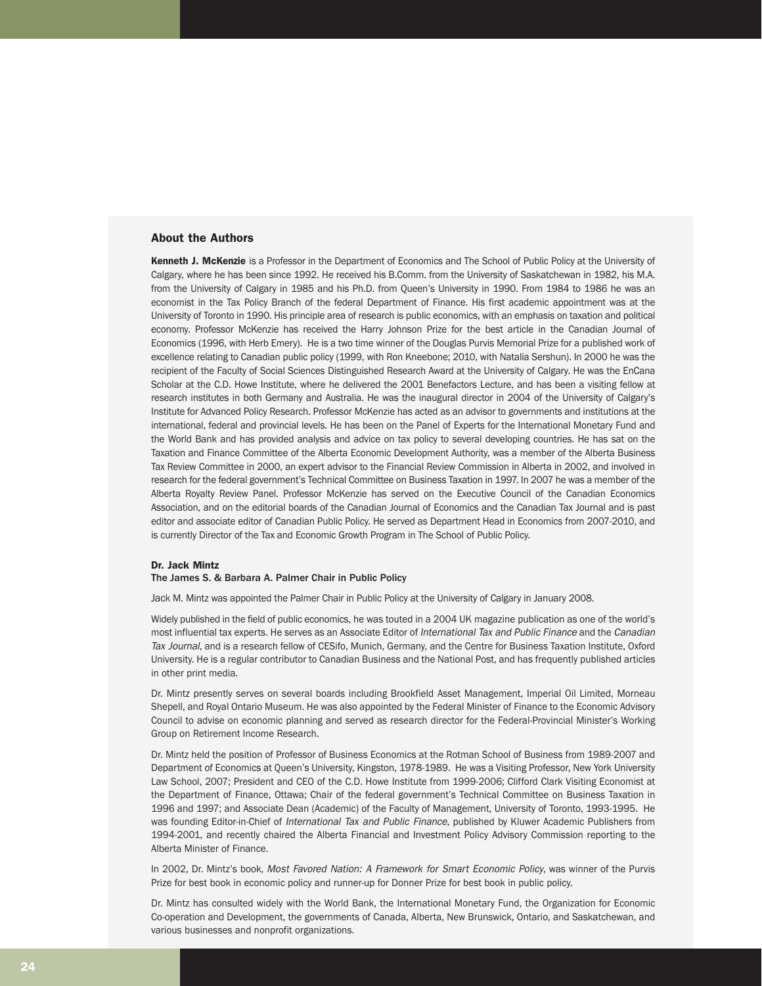#### About the Authors

Kenneth J. McKenzie is a Professor in the Department of Economics and The School of Public Policy at the University of Calgary, where he has been since 1992. He received his B.Comm. from the University of Saskatchewan in 1982, his M.A. from the University of Calgary in 1985 and his Ph.D. from Queen's University in 1990. From 1984 to 1986 he was an economist in the Tax Policy Branch of the federal Department of Finance. His first academic appointment was at the University of Toronto in 1990. His principle area of research is public economics, with an emphasis on taxation and political economy. Professor McKenzie has received the Harry Johnson Prize for the best article in the Canadian Journal of Economics (1996, with Herb Emery). He is a two time winner of the Douglas Purvis Memorial Prize for a published work of excellence relating to Canadian public policy (1999, with Ron Kneebone; 2010, with Natalia Sershun). In 2000 he was the recipient of the Faculty of Social Sciences Distinguished Research Award at the University of Calgary. He was the EnCana Scholar at the C.D. Howe Institute, where he delivered the 2001 Benefactors Lecture, and has been a visiting fellow at research institutes in both Germany and Australia. He was the inaugural director in 2004 of the University of Calgary's Institute for Advanced Policy Research. Professor McKenzie has acted as an advisor to governments and institutions at the international, federal and provincial levels. He has been on the Panel of Experts for the International Monetary Fund and the World Bank and has provided analysis and advice on tax policy to several developing countries. He has sat on the Taxation and Finance Committee of the Alberta Economic Development Authority, was a member of the Alberta Business Tax Review Committee in 2000, an expert advisor to the Financial Review Commission in Alberta in 2002, and involved in research for the federal government's Technical Committee on Business Taxation in 1997. In 2007 he was a member of the Alberta Royalty Review Panel. Professor McKenzie has served on the Executive Council of the Canadian Economics Association, and on the editorial boards of the Canadian Journal of Economics and the Canadian Tax Journal and is past editor and associate editor of Canadian Public Policy. He served as Department Head in Economics from 2007-2010, and is currently Director of the Tax and Economic Growth Program in The School of Public Policy.

#### Dr. Jack Mintz

#### The James S. & Barbara A. Palmer Chair in Public Policy

Jack M. Mintz was appointed the Palmer Chair in Public Policy at the University of Calgary in January 2008.

Widely published in the field of public economics, he was touted in a 2004 UK magazine publication as one of the world's most influential tax experts. He serves as an Associate Editor of International Tax and Public Finance and the Canadian Tax Journal, and is a research fellow of CESifo, Munich, Germany, and the Centre for Business Taxation Institute, Oxford University. He is a regular contributor to Canadian Business and the National Post, and has frequently published articles in other print media.

Dr. Mintz presently serves on several boards including Brookfield Asset Management, Imperial Oil Limited, Morneau Shepell, and Royal Ontario Museum. He was also appointed by the Federal Minister of Finance to the Economic Advisory Council to advise on economic planning and served as research director for the Federal-Provincial Minister's Working Group on Retirement Income Research.

Dr. Mintz held the position of Professor of Business Economics at the Rotman School of Business from 1989-2007 and Department of Economics at Queen's University, Kingston, 1978-1989. He was a Visiting Professor, New York University Law School, 2007; President and CEO of the C.D. Howe Institute from 1999-2006; Clifford Clark Visiting Economist at the Department of Finance, Ottawa; Chair of the federal government's Technical Committee on Business Taxation in 1996 and 1997; and Associate Dean (Academic) of the Faculty of Management, University of Toronto, 1993-1995. He was founding Editor-in-Chief of International Tax and Public Finance, published by Kluwer Academic Publishers from 1994-2001, and recently chaired the Alberta Financial and Investment Policy Advisory Commission reporting to the Alberta Minister of Finance.

In 2002, Dr. Mintz's book, Most Favored Nation: A Framework for Smart Economic Policy, was winner of the Purvis Prize for best book in economic policy and runner-up for Donner Prize for best book in public policy.

Dr. Mintz has consulted widely with the World Bank, the International Monetary Fund, the Organization for Economic Co-operation and Development, the governments of Canada, Alberta, New Brunswick, Ontario, and Saskatchewan, and various businesses and nonprofit organizations.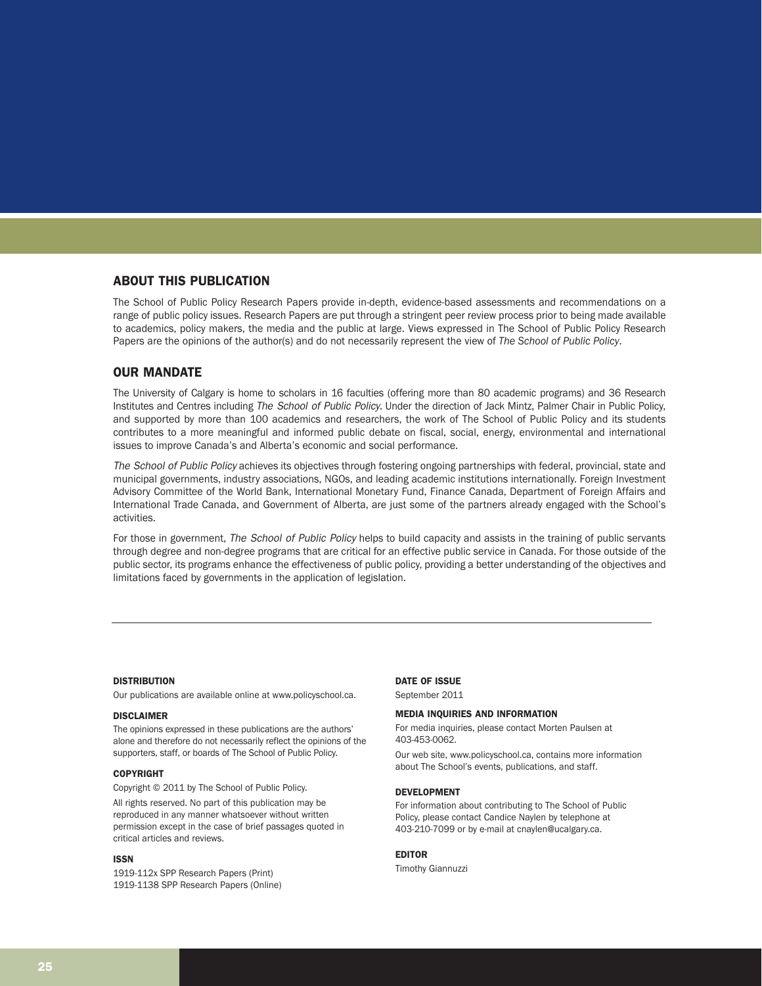### ABOUT THIS PUBLICATION

The School of Public Policy Research Papers provide in-depth, evidence-based assessments and recommendations on a range of public policy issues. Research Papers are put through a stringent peer review process prior to being made available to academics, policy makers, the media and the public at large. Views expressed in The School of Public Policy Research Papers are the opinions of the author(s) and do not necessarily represent the view of *The School of Public Policy*.

#### OUR MANDATE

The University of Calgary is home to scholars in 16 faculties (offering more than 80 academic programs) and 36 Research Institutes and Centres including The School of Public Policy. Under the direction of Jack Mintz, Palmer Chair in Public Policy, and supported by more than 100 academics and researchers, the work of The School of Public Policy and its students contributes to a more meaningful and informed public debate on fiscal, social, energy, environmental and international issues to improve Canada's and Alberta's economic and social performance.

The School of Public Policy achieves its objectives through fostering ongoing partnerships with federal, provincial, state and municipal governments, industry associations, NGOs, and leading academic institutions internationally. Foreign Investment Advisory Committee of the World Bank, International Monetary Fund, Finance Canada, Department of Foreign Affairs and International Trade Canada, and Government of Alberta, are just some of the partners already engaged with the School's activities.

For those in government, The School of Public Policy helps to build capacity and assists in the training of public servants through degree and non-degree programs that are critical for an effective public service in Canada. For those outside of the public sector, its programs enhance the effectiveness of public policy, providing a better understanding of the objectives and limitations faced by governments in the application of legislation.

#### **DISTRIBUTION**

Our publications are available online at www.policyschool.ca.

#### DISCLAIMER

The opinions expressed in these publications are the authors' alone and therefore do not necessarily reflect the opinions of the supporters, staff, or boards of The School of Public Policy.

#### COPYRIGHT

Copyright © 2011 by The School of Public Policy.

All rights reserved. No part of this publication may be reproduced in any manner whatsoever without written permission except in the case of brief passages quoted in critical articles and reviews.

#### ISSN

1919-112x SPP Research Papers (Print) 1919-1138 SPP Research Papers (Online)

# DATE OF ISSUE

September 2011

#### MEDIA INQUIRIES AND INFORMATION

For media inquiries, please contact Morten Paulsen at 403-453-0062.

Our web site, www.policyschool.ca, contains more information about The School's events, publications, and staff.

#### DEVELOPMENT

For information about contributing to The School of Public Policy, please contact Candice Naylen by telephone at 403-210-7099 or by e-mail at cnaylen@ucalgary.ca.

#### EDITOR

Timothy Giannuzzi